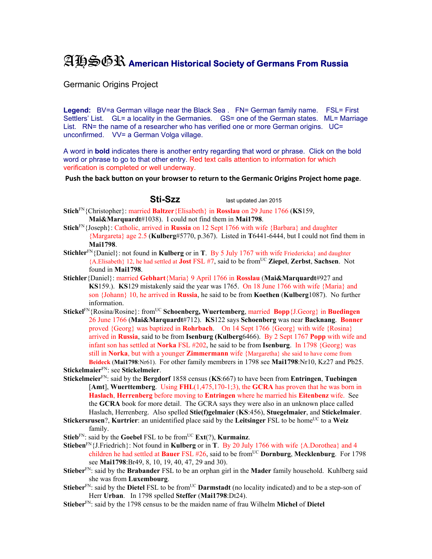## AHSGR **American Historical Society of Germans From Russia**

Germanic Origins Project

Legend: BV=a German village near the Black Sea . FN= German family name. FSL= First Settlers' List. GL= a locality in the Germanies. GS= one of the German states. ML= Marriage List. RN= the name of a researcher who has verified one or more German origins. UC= unconfirmed. VV= a German Volga village.

A word in **bold** indicates there is another entry regarding that word or phrase. Click on the bold word or phrase to go to that other entry. Red text calls attention to information for which verification is completed or well underway.

**Push the back button on your browser to return to the Germanic Origins Project home page**.

**Sti-Szz** last updated Jan 2015

- **Stich**FN{Christopher}: married **Baltzer**{Elisabeth} in **Rosslau** on 29 June 1766 (**KS**159, **Mai&Marquardt**#1038). I could not find them in **Mai1798**.
- **Stich**FN{Joseph}: Catholic, arrived in **Russia** on 12 Sept 1766 with wife {Barbara} and daughter {Margareta} age 2.5 (**Kulberg**#5770, p.367). Listed in **T**6441-6444, but I could not find them in **Mai1798**.
- **Stichler**FN{Daniel}: not found in **Kulberg** or in **T**. By 5 July 1767 with wife Friedericka} and daughter {A.Elisabeth} 12, he had settled at **Jost** FSL #7, said to be fromUC **Ziepel**, **Zerbst**, **Sachsen**. Not found in **Mai1798**.
- **Stichler**{Daniel}: married **Gebhart**{Maria} 9 April 1766 in **Rosslau** (**Mai&Marquardt**#927 and **KS**159.). **KS**129 mistakenly said the year was 1765. On 18 June 1766 with wife {Maria} and son {Johann} 10, he arrived in **Russia**, he said to be from **Koethen** (**Kulberg**1087). No further information.
- **Stickel**FN{Rosina/Rosine}: fromUC **Schoenberg, Wuertemberg**, married **Bopp**{J.Georg} in **Buedingen**  26 June 1766 (**Mai&Marquardt**#712). **KS**122 says **Schoenberg** was near **Backnang**. **Bonner** proved {Georg} was baptized in **Rohrbach**. On 14 Sept 1766 {Georg} with wife {Rosina} arrived in **Russia**, said to be from **Isenburg (Kulberg**6466). By 2 Sept 1767 **Popp** with wife and infant son has settled at **Norka** FSL #202, he said to be from **Isenburg**. In 1798 {Georg} was still in **Norka**, but with a younger **Zimmermann** wife {Margaretha} she said to have come from **Beideck** (**Mai1798**:Nr61). For other family membrers in 1798 see **Mai1798**:Nr10, Kz27 and Pb25.
- **Stickelmaier**FN: see **Stickelmeier**.
- **Stickelmeier**FN: said by the **Bergdorf** 1858 census (**KS**:667) to have been from **Entringen**, **Tuebingen** [**Amt**], **Wuerttemberg**. Using **FHL**(1,475,170-1;3), the **GCRA** has proven that he was born in **Haslach**, **Herrenberg** before moving to **Entringen** where he married his **Eitenbenz** wife. See the **GCRA** book for more detail. The GCRA says they were also in an unknown place called Haslach, Herrenberg. Also spelled **Stie(f)gelmaier** (**KS**:456), **Stuegelmaier**, and **Stickelmaier**.
- **Stickersrusen**?, **Kurtrier**: an unidentified place said by the Leitsinger FSL to be home<sup>UC</sup> to a Weiz family.
- **Stieb**<sup>FN</sup>: said by the **Goebel** FSL to be from<sup>UC</sup> **Ext**(?), **Kurmainz**.
- **Stieben**<sup>FN</sup>{J.Friedrich}: Not found in **Kulberg** or in **T**. By 20 July 1766 with wife {A.Dorothea} and 4 children he had settled at **Bauer** FSL #26, said to be fromUC **Dornburg**, **Mecklenburg**. For 1798 see **Mai1798**:Br49, 8, 10, 19, 40, 47, 29 and 30).
- **Stieber**FN: said by the **Brabander** FSL to be an orphan girl in the **Mader** family household. Kuhlberg said she was from **Luxembourg**.
- **Stieber**<sup>FN</sup>: said by the **Dietel** FSL to be from<sup>UC</sup> **Darmstadt** (no locality indicated) and to be a step-son of Herr **Urban**. In 1798 spelled **Steffer** (**Mai1798**:Dt24).
- **Stieber**FN: said by the 1798 census to be the maiden name of frau Wilhelm **Michel** of **Dietel**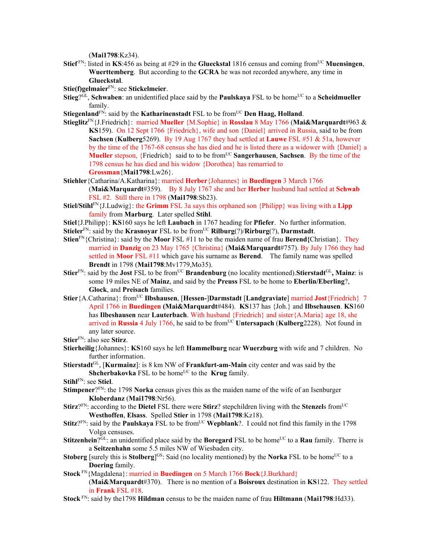(**Mai1798**:Kz34).

**Stief** FN: listed in **KS**:456 as being at #29 in the **Glueckstal** 1816 census and coming from<sup>UC</sup> Muensingen, **Wuerttemberg**. But according to the **GCRA** he was not recorded anywhere, any time in **Glueckstal**.

**Stie(f)gelmaier**FN: see **Stickelmeier**.

- **Stieg**?<sup>GL</sup>, **Schwaben**: an unidentified place said by the **Paulskaya** FSL to be home<sup>UC</sup> to a **Scheidmueller** family.
- **Stiegenland**<sup>FN</sup>: said by the **Katharinenstadt** FSL to be from<sup>UC</sup> Den Haag, Holland.
- **Stieglitz**FN{J.Friedrich}: married **Mueller** {M.Sophie} in **Rosslau** 8 May 1766 (**Mai&Marquardt**#963 & **KS**159). On 12 Sept 1766 {Friedrich}, wife and son {Daniel} arrived in Russia, said to be from **Sachsen** (**Kulberg**5269). By 19 Aug 1767 they had settled at **Lauwe** FSL #51 & 51a, however by the time of the 1767-68 census she has died and he is listed there as a widower with {Daniel} a **Mueller** stepson, {Friedrich} said to to be from<sup>UC</sup> **Sangerhausen**, **Sachsen**. By the time of the 1798 census he has died and his widow {Dorothea} has remarried to **Grossman**{**Mai1798**:Lw26}.
- **Stiehler**{Catharina/A.Katharina}: married **Herber**{Johannes} in **Buedingen** 3 March 1766 (**Mai&Marquardt**#359).By 8 July 1767 she and her **Herber** husband had settled at **Schwab**  FSL #2. Still there in 1798 (**Mai1798**:Sb23).
- **Stiel/Stihl**FN{J.Ludwig}: the **Grimm** FSL 3a says this orphaned son {Philipp} was living with a **Lipp** family from **Marburg**. Later spelled **Stihl**.
- **Stiel**{J.Philipp}: **KS**160 says he left **Laubach** in 1767 heading for **Pfiefer**. No further information.
- **Stieler**<sup>FN</sup>: said by the **Krasnoyar** FSL to be from<sup>UC</sup> **Rilburg**(?)/**Rirburg**(?), **Darmstadt**.
- **Stien**FN{Christina}: said by the **Moor** FSL #11 to be the maiden name of frau **Berend{**Christian}. They married in **Danzig** on 23 May 1765 {Christina} (**Mai&Marquardt**#757). By July 1766 they had settled in **Moor** FSL #11 which gave his surname as **Berend**. The family name was spelled **Brendt** in 1798 (**Mai1798**:Mv1779,Mo35).
- **Stier**<sup>FN</sup>: said by the **Jost** FSL to be from<sup>UC</sup> **Brandenburg** (no locality mentioned). Stierstadt<sup>GL</sup>, Mainz: is some 19 miles NE of **Mainz**, and said by the **Preuss** FSL to be home to **Eberlin/Eberling**?, **Glock**, and **Preisach** families.
- **Stier**{A.Catharina}: fromUC **Ilbshausen**, [**Hessen-**]**Darmstadt** [**Landgraviate**] married **Jost**{Friedrich} 7 April 1766 in **Buedingen (Mai&Marquardt**#484). **KS**137 has {Joh.} and **Ilbsehausen**. **KS**160 has **Ilbeshausen** near **Lauterbach**. With husband {Friedrich} and sister{A.Maria} age 18, she arrived in **Russia** 4 July 1766, he said to be fromUC **Untersapach** (**Kulberg**2228). Not found in any later source.
- **Stier**FN: also see **Stirz**.
- **Stierheilig**{Johannes}: **KS**160 says he left **Hammelburg** near **Wuerzburg** with wife and 7 children. No further information.
- **Stierstadt**GL, [**Kurmainz**]: is 8 km NW of **Frankfurt-am-Main** city center and was said by the **Shcherbakovka** FSL to be home<sup>UC</sup> to the **Krug** family.

**Stihl**FN: see **Stiel**.

- **Stimpener**?<sup>FN</sup>: the 1798 **Norka** census gives this as the maiden name of the wife of an Isenburger **Kloberdanz** (**Mai1798**:Nr56).
- **Stirz**?<sup>FN</sup>: according to the **Dietel** FSL there were **Stirz**? stepchildren living with the **Stenzel**s from<sup>UC</sup> **Westhoffen**, **Elsass**. Spelled **Stier** in 1798 (**Mai1798**:Kz18).
- **Stitz**?<sup>FN</sup>: said by the **Paulskaya** FSL to be from<sup>UC</sup> **Wepblank**?. I could not find this family in the 1798 Volga censuses.
- **Stitzenhein**?GL: an unidentified place said by the **Boregard** FSL to be home<sup>UC</sup> to a **Rau** family. Therre is a **Seitzenhahn** some 5.5 miles NW of Wiesbaden city.
- **Stoberg** [surely this is **Stolberg**]<sup>GS</sup>: Said (no locality mentioned) by the **Norka** FSL to be home<sup>UC</sup> to a **Doering** family.
- **Stock** FN{Magdalena}: married in **Buedingen** on 5 March 1766 **Bock**{J.Burkhard} (**Mai&Marquardt**#370). There is no mention of a **Boisroux** destination in **KS**122. They settled in **Frank** FSL #18.
- **Stock** FN: said by the1798 **Hildman** census to be the maiden name of frau **Hiltmann** (**Mai1798**:Hd33).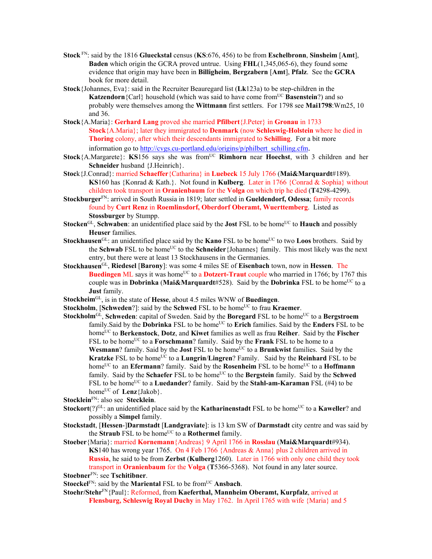- **Stock** FN: said by the 1816 **Glueckstal** census (**KS**:676, 456) to be from **Eschelbronn**, **Sinsheim** [**Amt**], **Baden** which origin the GCRA proved untrue. Using **FHL**(1,345,065-6), they found some evidence that origin may have been in **Billigheim**, **Bergzabern** [**Amt**], **Pfalz**. See the **GCRA** book for more detail.
- **Stock**{Johannes, Eva}: said in the Recruiter Beauregard list (**Lk**123a) to be step-children in the **Katzendorn**{Carl} household (which was said to have come from<sup>UC</sup> **Basenstein**?) and so probably were themselves among the **Wittmann** first settlers. For 1798 see **Mai1798**:Wm25, 10 and 36.
- **Stock**{A.Maria}: **Gerhard Lang** proved she married **Pfilbert**{J.Peter} in **Gronau** in 1733 **Stock**{A.Maria}; later they immigrated to **Denmark** (now **Schleswig-Holstein** where he died in **Thoring** colony, after which their descendants immigrated to **Schilling**. For a bit more information go to http://cvgs.cu-portland.edu/origins/p/philbert\_schilling.cfm.
- **Stock**{A.Margarete}: **KS**156 says she was from<sup>UC</sup> **Rimhorn** near **Hoechst**, with 3 children and her **Schneider** husband {J.Heinrich}.
- **Stoc**k{J.Conrad}: married **Schaeffer**{Catharina} in **Luebeck** 15 July 1766 (**Mai&Marquardt**#189). **KS**160 has {Konrad & Kath.}. Not found in **Kulberg**. Later in 1766 {Conrad & Sophia} without children took transport in **Oranienbaum** for the **Volga** on which trip he died (**T**4298-4299).
- **Stockburger**FN: arrived in South Russia in 1819; later settled in **Gueldendorf, Odessa**; family records found by **Curt Renz** in **Roemlinsdorf, Oberdorf Oberamt, Wuerttemberg**. Listed as **Stossburger** by Stumpp.
- **Stocken**<sup>GL</sup>, **Schwaben**: an unidentified place said by the **Jost** FSL to be home<sup>UC</sup> to **Hauch** and possibly **Heuser** families.
- **Stockhausen**<sup>GL</sup>: an unidentified place said by the **Kano** FSL to be home<sup>UC</sup> to two **Loos** brothers. Said by the **Schwab** FSL to be home<sup>UC</sup> to the **Schneider** {Johannes} family. This most likely was the next entry, but there were at least 13 Stockhausens in the Germanies.
- **Stockhausen**GL, **Riedesel** [**Barony**]: was some 4 miles SE of **Eisenbach** town, now in **Hessen**. The **Buedingen** ML says it was home<sup>UC</sup> to a **Dotzert-Traut** couple who married in 1766; by 1767 this couple was in **Dobrinka** (Mai&Marquardt#528). Said by the **Dobrinka** FSL to be home<sup>UC</sup> to a **Just** family.
- **Stockheim**GL, is in the state of **Hesse**, about 4.5 miles WNW of **Buedingen**.
- **Stockholm**, [**Schweden**?]: said by the **Schwed** FSL to be home<sup>UC</sup> to frau **Kraemer**.
- **Stockholm**<sup>GL</sup>, **Schweden**: capital of Sweden. Said by the **Boregard** FSL to be home<sup>UC</sup> to a **Bergstroem** family. Said by the **Dobrinka** FSL to be home<sup>UC</sup> to **Erich** families. Said by the **Enders** FSL to be homeUC to **Berkenstock**, **Dotz**, and **Kiwet** families as well as frau **Reiher**. Said by the **Fischer** FSL to be home<sup>UC</sup> to a **Forschmann**? family. Said by the **Frank** FSL to be home to a **Wesmann**? family. Said by the **Jost** FSL to be home<sup>UC</sup> to a **Brunkwist** families. Said by the **Kratzke** FSL to be home<sup>UC</sup> to a **Lungrin**/**Lingren**? Family. Said by the **Reinhard** FSL to be home<sup>UC</sup> to an **Efermann**? family. Said by the **Rosenheim** FSL to be home<sup>UC</sup> to a **Hoffmann** family. Said by the **Schaefer** FSL to be home<sup>UC</sup> to the **Bergstein** family. Said by the **Schwed** FSL to be home<sup>UC</sup> to a **Luedander**? family. Said by the **Stahl-am-Karaman** FSL (#4) to be home<sup>UC</sup> of **Lenz**{Jakob}.
- **Stocklein**FN: also see **Stecklein**.
- **Stockort**(?)<sup>GL</sup>: an unidentified place said by the **Katharinenstadt** FSL to be home<sup>UC</sup> to a **Kaweller**? and possibly a **Simpel** family.
- **Stockstadt**, [**Hessen**-]**Darmstadt** [**Landgraviate**]: is 13 km SW of **Darmstadt** city centre and was said by the **Straub** FSL to be home<sup>UC</sup> to a **Rothermel** family.
- **Stoeber**{Maria}: married **Kornemann**{Andreas} 9 April 1766 in **Rosslau** (**Mai&Marquardt**#934). **KS**140 has wrong year 1765. On 4 Feb 1766 {Andreas & Anna} plus 2 children arrived in **Russia**, he said to be from **Zerbst** (**Kulberg**1260). Later in 1766 with only one child they took transport in **Oranienbaum** for the **Volga** (**T**5366-5368). Not found in any later source.

**Stoebner**FN: see **Tschitibner**.

**Stoeckel**<sup>FN</sup>: said by the **Mariental** FSL to be from<sup>UC</sup> **Ansbach**.

**Stoehr/Stehr**FN{Paul}: Reformed, from **Kaeferthal, Mannheim Oberamt, Kurpfalz**, arrived at **Flensburg, Schleswig Royal Duchy** in May 1762. In April 1765 with wife {Maria} and 5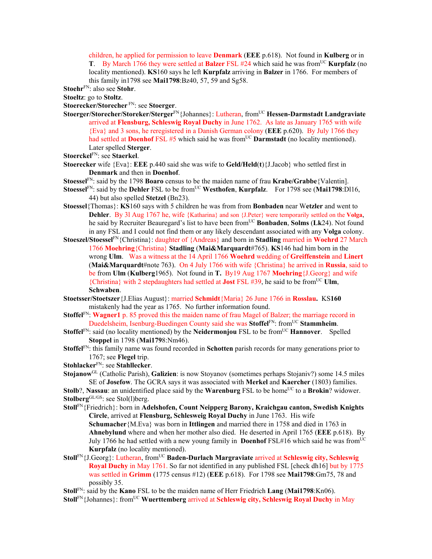children, he applied for permission to leave **Denmark** (**EEE** p.618). Not found in **Kulberg** or in **T**. By March 1766 they were settled at **Balzer** FSL #24 which said he was from<sup>UC</sup> **Kurpfalz** (no locality mentioned). **KS**160 says he left **Kurpfalz** arriving in **Balzer** in 1766. For members of this family in1798 see **Mai1798**:Bz40, 57, 59 and Sg58.

**Stoehr**FN: also see **Stohr**.

**Stoeltz**: go to **Stoltz**.

**Stoerecker/Storecher** FN: see **Stoerger**.

- **Stoerger/Storecher/Storeker/Sterger**FN{Johannes}: Lutheran, fromUC **Hessen-Darmstadt Landgraviate** arrived at **Flensburg, Schleswig Royal Duchy** in June 1762. As late as January 1765 with wife {Eva} and 3 sons, he reregistered in a Danish German colony (**EEE** p.620). By July 1766 they had settled at **Doenhof** FSL #5 which said he was from<sup>UC</sup> **Darmstadt** (no locality mentioned). Later spelled **Sterger**.
- **Stoerckel**FN: see **Staerkel**.
- **Stoerecker** wife {Eva}: **EEE** p.440 said she was wife to **Geld/Held**(**t**){J.Jacob} who settled first in **Denmark** and then in **Doenhof**.
- **Stoessel**FN: said by the 1798 **Boaro** census to be the maiden name of frau **Krabe/Grabbe**{Valentin].
- **Stoessel**FN: said by the **Dehler** FSL to be fromUC **Westhofen**, **Kurpfalz**. For 1798 see (**Mai1798**:Dl16, 44) but also spelled **Stetzel** (Bn23).
- **Stoessel**{Thomas}: **KS**160 says with 5 children he was from from **Bonbaden** near W**etzler** and went to **Dehler**. By 3l Aug 1767 he, wife {Katharina} and son {J.Peter} were temporarily settled on the **Volga**, he said by Recruiter Beauregard's list to have been fromUC **Bonbaden**, **Solms** (**Lk**24). Not found in any FSL and I could not find them or any likely descendant associated with any **Volga** colony.
- **Stoeszel/Stoessel**FN{Christina}: daughter of {Andreas} and born in **Stadling** married in **Woehrd** 27 March 1766 **Moehring**{Christina} **Stadling** (**Mai&Marquardt**#765). **KS**146 had him born in the wrong **Ulm**. Was a witness at the 14 April 1766 **Woehrd** wedding of **Greiffenstein** and **Linert** (**Mai&Marquardt**#note 763). On 4 July 1766 with wife {Christina} he arrived in **Russia**, said to be from **Ulm** (**Kulberg**1965). Not found in **T.** By19 Aug 1767 **Moehring**{J.Georg} and wife {Christina} with 2 stepdaughters had settled at **Jost** FSL #39, he said to be fromUC **Ulm**, **Schwaben**.
- **Stoetsser/Stoetszer**{J.Elias August}: married **Schmidt**{Maria} 26 June 1766 in **Rosslau.** KS**160**  mistakenly had the year as 1765. No further information found.
- **Stoffel**FN: **Wagner1** p. 85 proved this the maiden name of frau Magel of Balzer; the marriage record in Duedelsheim, Isenburg-Buedingen County said she was **Stoffel**FN: fromUC **Stammheim**.
- **Stoffel**<sup>FN</sup>: said (no locality mentioned) by the **Neidermonjou** FSL to be from<sup>UC</sup> **Hannover**. Spelled **Stoppel** in 1798 (**Mai179**8:Nm46).
- **Stoffel**FN: this family name was found recorded in **Schotten** parish records for many generations prior to 1767; see **Flegel** trip.

**Stohlacker**FN: see **Stahllecker**.

- **Stojanow**GL (Catholic Parish), **Galizien**: is now Stoyanov (sometimes perhaps Stojaniv?) some 14.5 miles SE of **Josefow**. The GCRA says it was associated with **Merkel** and **Kaercher** (1803) families. **Stolb**?, **Nassau**: an unidentified place said by the **Warenburg** FSL to be home<sup>UC</sup> to a **Brokin**? widower.
- Stolberg<sup>GL/GS</sup>: see Stol(l)berg.
- **Stoll**FN{Friedrich}: born in **Adelshofen, Count Neipperg Barony, Kraichgau canton, Swedish Knights Circle**, arrived at **Flensburg, Schlesweig Royal Duchy** in June 1763. His wife **Schumacher**{M.Eva} was born in **Ittlingen** and married there in 1758 and died in 1763 in **Ahnebylund** where and when her mother also died. He deserted in April 1765 (**EEE** p.618). By July 1766 he had settled with a new young family in **Doenhof** FSL#16 which said he was from<sup>UC</sup> **Kurpfalz** (no locality mentioned).
- **Stoll**FN{J.Georg}: Lutheran, fromUC **Baden-Durlach Margraviate** arrived at **Schleswig city, Schleswig Royal Duchy** in May 1761. So far not identified in any published FSL [check dh16] but by 1775 was settled in **Grimm** (1775 census #12) (**EEE** p.618). For 1798 see **Mai1798**:Gm75, 78 and possibly 35.
- **Stoll**FN: said by the **Kano** FSL to be the maiden name of Herr Friedrich **Lang** (**Mai1798**:Kn06).
- **Stoll**FN{Johannes}: from<sup>UC</sup> **Wuerttemberg** arrived at **Schleswig city, Schleswig Royal Duchy** in May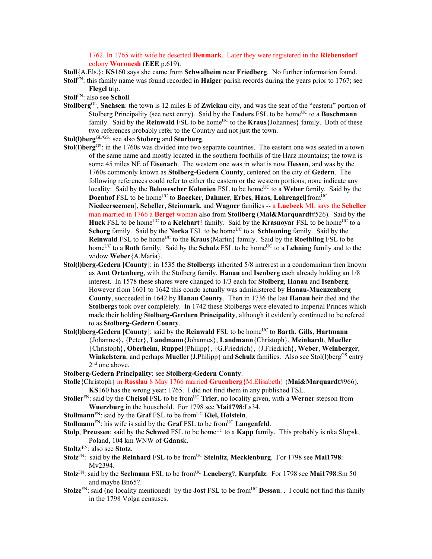1762. In 1765 with wife he deserted **Denmark**. Later they were registered in the **Riebensdorf** colony **Woronesh** (**EEE** p.619).

**Stoll**{A.Els.}: **KS**160 says she came from **Schwalheim** near **Friedberg**. No further information found.

- **Stoll**FN: this family name was found recorded in **Haiger** parish records during the years prior to 1767; see **Flegel** trip.
- **Stoll**FN: also see **Scholl**.
- **Stollberg**GL, **Sachsen**: the town is 12 miles E of **Zwickau** city, and was the seat of the "eastern" portion of Stolberg Principality (see next entry). Said by the **Enders** FSL to be home<sup>UC</sup> to a **Buschmann** family. Said by the **Reinwald** FSL to be home<sup>UC</sup> to the **Kraus** {Johannes} family. Both of these two references probably refer to the Country and not just the town.
- **Stol(l)berg**GL/GS: see also **Stoberg** and **Sturburg**.
- **Stol(I)berg<sup>GS</sup>:** in the 1760s was divided into two separate countries. The eastern one was seated in a town of the same name and mostly located in the southern foothills of the Harz mountains; the town is some 45 miles NE of **Eisenach**. The western one was in what is now **Hessen**, and was by the 1760s commonly known as **Stolberg-Gedern County**, centered on the city of **Gedern**. The following references could refer to either the eastern or the western portions; none indicate any locality: Said by the **Belowescher Kolonien** FSL to be home<sup>UC</sup> to a **Weber** family. Said by the **Doenhof** FSL to be home<sup>UC</sup> to **Baecker**, **Dahmer**, **Erbes**, **Haas**, **Lohrengel**[from<sup>UC</sup> **Niedeerseemen**], **Scheller**, **Steinmark**, and **Wagner** families -- a **Luebeck** ML says the **Scheller** man married in 1766 a **Berget** woman also from **Stollberg** (**Mai&Marquardt**#526). Said by the **Huck** FSL to be home<sup>UC</sup> to a **Kelchart**? family. Said by the **Krasnovar** FSL to be home<sup>UC</sup> to a **Schorg family.** Said by the **Norka** FSL to be home<sup>UC</sup> to a **Schleuning** family. Said by the **Reinwald** FSL to be home<sup>UC</sup> to the **Kraus**{Martin} family. Said by the **Roethling** FSL to be home<sup>UC</sup> to a **Roth** family. Said by the **Schulz** FSL to be home<sup>UC</sup> to a **Lehning** family and to the widow **Weber**{A.Maria}.
- **Stol(l)berg-Gedern** [**County**]: in 1535 the **Stolberg**s inherited 5/8 intrerest in a condominium then known as **Amt Ortenberg**, with the Stolberg family, **Hanau** and **Isenberg** each already holding an 1/8 interest. In 1578 these shares were changed to 1/3 each for **Stolberg**, **Hanau** and **Isenberg**. However from 1601 to 1642 this condo actually was administered by **Hanau-Muenzenberg County**, succeeded in 1642 by **Hanau County**. Then in 1736 the last **Hanau** heir died and the **Stolberg**s took over completely. In 1742 these Stolbergs were elevated to Imperial Princes which made their holding **Stolberg-Gerdern Principality**, although it evidently continued to be refered to as **Stolberg-Gedern County**.
- **Stol(I)berg-Gedern [County]: said by the Reinwald FSL to be home<sup>UC</sup> to Barth, Gills, Hartmann** {Johannes}, {Peter}, **Landmann**{Johannes}, **Landmann**{Christoph}, **Meinhardt**, **Mueller**  {Christoph}, **Oberheim**, **Ruppel**{Philipp}, {G.Friedrich}, {J.Friedrich}, **Weber**, **Weinberger**, **Winkelstern**, and perhaps **Mueller** {J.Philipp} and **Schulz** families. Also see Stol(1)berg<sup>GS</sup> entry 2nd one above.
- **Stolberg-Gedern Principality**: see **Stolberg-Gedern County**.
- **Stolle**{Christoph} in **Rosslau** 8 May 1766 married **Gruenberg**{M.Elisabeth} (**Mai&Marquardt**#966). **KS**160 has the wrong year: 1765. I did not find them in any published FSL.
- **Stoller**<sup>FN</sup>: said by the **Cheisol** FSL to be from<sup>UC</sup> **Trier**, no locality given, with a **Werner** stepson from **Wuerzburg** in the household. For 1798 see **Mai1798**:Ls34.
- **Stollmann**<sup>FN</sup>: said by the **Graf** FSL to be from<sup>UC</sup> **Kiel, Holstein**.

**Stollmann**<sup>FN</sup>: his wife is said by the **Graf** FSL to be from<sup>UC</sup> **Langenfeld**.

- **Stolp**, **Preussen**: said by the **Schwed** FSL to be home<sup>UC</sup> to a **Kapp** family. This probably is nka Slupsk, Poland, 104 km WNW of **Gdans**k.
- **Stoltz** FN: also see **Stotz**.
- **Stolz**FN: said by the **Reinhard** FSL to be fromUC **Steinitz**, **Mecklenburg**. For 1798 see **Mai1798**: Mv2394.
- **Stolz**<sup>FN</sup>: said by the **Seelmann** FSL to be from<sup>UC</sup> Leneberg?, **Kurpfalz**. For 1798 see Mai1798:Sm 50 and maybe Bn65?.
- **Stolze**FN: said (no locality mentioned) by the **Jost** FSL to be from<sup>UC</sup> **Dessau**. . I could not find this family in the 1798 Volga censuses.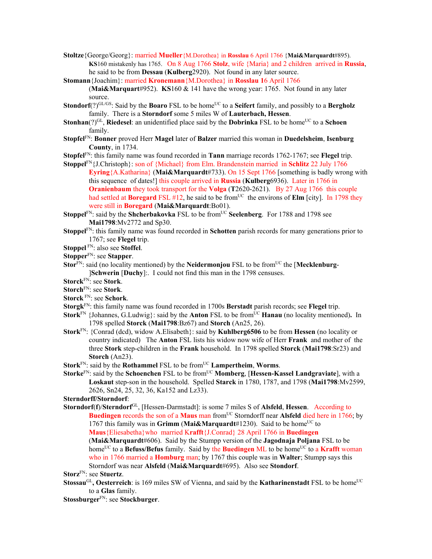- **Stoltze**{George/Georg}: married **Mueller**{M.Dorothea} in **Rosslau** 6 April 1766 {**Mai&Marquardt**#895). **KS**160 mistakenly has 1765. On 8 Aug 1766 **Stolz**, wife {Maria} and 2 children arrived in **Russia**, he said to be from **Dessau** (**Kulberg**2920). Not found in any later source.
- **Stomann**{Joachim}: married **Kronemann**{M.Dorothea} in **Rosslau 1**6 April 1766 (**Mai&Marquart**#952). **KS**160 & 141 have the wrong year: 1765. Not found in any later source.
- **Stondorf**(?)<sup>GL/GS</sup>: Said by the **Boaro** FSL to be home<sup>UC</sup> to a **Seifert** family, and possibly to a **Bergholz** family. There is a **Storndorf** some 5 miles W of **Lauterbach, Hessen**.
- **Stonhan**(?)<sup>GL</sup>, **Riedesel**: an unidentified place said by the **Dobrinka** FSL to be home<sup>UC</sup> to a **Schoen** family.
- **Stopfel**FN: **Bonner** proved Herr **Magel** later of **Balzer** married this woman in **Duedelsheim**, **Isenburg County**, in 1734.
- **Stopfel**FN: this family name was found recorded in **Tann** marriage records 1762-1767; see **Flegel** trip.
- **Stoppel**FN{J.Christoph}: son of {Michael} from Elm. Brandenstein married in **Schlitz** 22 July 1766 **Eyring**{A.Katharina} (**Mai&Marquardt**#733). On 15 Sept 1766 [something is badly wrong with this sequence of dates!] this couple arrived in **Russia** (**Kulberg**6936). Later in 1766 in **Oranienbaum** they took transport for the **Volga** (**T**2620-2621). By 27 Aug 1766 this couple had settled at **Boregard** FSL  $\sharp$ 12, he said to be from<sup>UC</sup> the environs of **Elm** [city]. In 1798 they were still in **Boregard** (**Mai&Marquardt**:Bo01).
- **Stoppel<sup>FN</sup>: said by the <b>Shcherbakovka** FSL to be from<sup>UC</sup> **Seelenberg**. For 1788 and 1798 see **Mai1798**:Mv2772 and Sp30.
- **Stoppel**FN: this family name was found recorded in **Schotten** parish records for many generations prior to 1767; see **Flegel** trip.
- **Stoppel** FN: also see **Stoffel**.
- **Stopper**FN: see **Stapper**.
- **Stor**<sup>FN</sup>: said (no locality mentioned) by the **Neidermonjou** FSL to be from<sup>UC</sup> the [**Mecklenburg**-]**Schwerin** [**Duchy**]:. I could not find this man in the 1798 censuses.
- **Storck**FN: see **Stork**.
- **Storch**FN: see **Stork**.
- **Storck** FN: see **Schork**.
- **Storgk**FN: this family name was found recorded in 1700s **Berstadt** parish records; see **Flegel** trip.
- **Stork**<sup>FN</sup> {Johannes, G.Ludwig}: said by the **Anton** FSL to be from<sup>UC</sup> **Hanau** (no locality mentioned). In 1798 spelled **Storck** (**Mai1798**:Bz67) and **Storch** (An25, 26).
- **Stork**FN: {Conrad (dcd), widow A.Elisabeth}: said by **Kuhlberg6506** to be from **Hessen** (no locality or country indicated) The **Anton** FSL lists his widow now wife of Herr **Frank** and mother of the three **Stork** step-children in the **Frank** household. In 1798 spelled **Storck** (**Mai1798**:Sr23) and **Storch** (An23).
- **Stork**<sup>FN</sup>: said by the **Rothammel** FSL to be from<sup>UC</sup> **Lampertheim**, **Worms**.
- **Storke**<sup>FN</sup>: said by the **Schoenchen** FSL to be from<sup>UC</sup> **Momberg**, [Hessen-Kassel Landgraviate], with a **Loskaut** step-son in the household. Spelled **Starck** in 1780, 1787, and 1798 (**Mai1798**:Mv2599, 2626, Sn24, 25, 32, 36, Ka152 and Lz33).

**Sterndorff/Storndorf**:

**Storndorf**(**f**)/**Sterndorf**GL, [Hessen-Darmstadt]: is some 7 miles S of **Alsfeld**, **Hessen**. According to **Buedingen** records the son of a **Maus** man from<sup>UC</sup> Storndorff near **Alsfeld** died here in 1766; by 1767 this family was in **Grimm** (Mai&Marquardt#1230). Said to be home<sup>UC</sup> to **Maus**{Eliesabetha}whomarried K**rafft**{J.Conrad} 28 April 1766 in **Buedingen** 

(**Mai&Marquardt**#606). Said by the Stumpp version of the **Jagodnaja Poljana** FSL to be home<sup>UC</sup> to a **Befuss/Befus** family. Said by the **Buedingen** ML to be home<sup>UC</sup> to a **Krafft** woman who in 1766 married a **Homburg** man; by 1767 this couple was in **Walter**; Stumpp says this Storndorf was near **Alsfeld** (**Mai&Marquardt**#695). Also see **Stondorf**.

**Storz**FN: see **Stuertz**.

**Stossau<sup>GL</sup>, Oesterreich**: is 169 miles SW of Vienna, and said by the **Katharinenstadt** FSL to be home<sup>UC</sup> to a **Glas** family.

**Stossburger**FN: see **Stockburger**.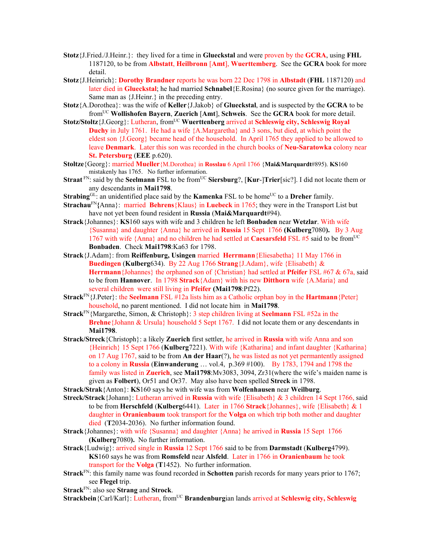- **Stotz**{J.Fried./J.Heinr.}: they lived for a time in **Glueckstal** and were proven by the **GCRA**, using **FHL** 1187120, to be from **Albstatt**, **Heilbronn** [**Amt**], **Wuerttemberg**. See the **GCRA** book for more detail.
- **Stotz**{J.Heinrich}: **Dorothy Brandner** reports he was born 22 Dec 1798 in **Albstadt** (**FHL** 1187120) and later died in **Glueckstal**; he had married **Schnabel**{E.Rosina} (no source given for the marriage). Same man as {J.Heinr.} in the preceding entry.
- **Stotz**{A.Dorothea}: was the wife of **Keller**{J.Jakob} of **Glueckstal**, and is suspected by the **GCRA** to be fromUC **Wollishofen Bayern**, **Zuerich** [**Amt**], **Schweis**. See the **GCRA** book for more detail.
- **Stotz/Stoltz**{J.Georg}: Lutheran, from<sup>UC</sup> Wuerttenberg arrived at **Schleswig city, Schleswig Royal Duchy** in July 1761. He had a wife  ${A.Margaretha}$  and 3 sons, but died, at which point the eldest son {J.Georg} became head of the household. In April 1765 they applied to be allowed to leave **Denmark**. Later this son was recorded in the church books of **Neu-Saratowka** colony near **St. Petersburg** (**EEE** p.620).
- **Stoltze**{Georg}: married **Mueller**{M.Dorothea} in **Rosslau** 6 April 1766 {**Mai&Marquardt**#895). **KS**160 mistakenly has 1765. No further information.
- **Straat** FN: said by the **Seelmann** FSL to be from<sup>UC</sup> **Siersburg**?, [**Kur-**]Trier[sic?]. I did not locate them or any descendants in **Mai1798**.
- **Strabing**<sup>GL:</sup> an unidentified place said by the **Kamenka** FSL to be home<sup>UC</sup> to a **Dreher** family.
- **Strachau**FN**{**Anna}: married **Behrens**{Klaus} in **Luebeck** in 1765; they were in the Transport List but have not yet been found resident in **Russia** (**Mai&Marquardt**#94).
- **Strack**{Johannes}: **KS**160 says with wife and 3 children he left **Bonbaden** near **Wetzlar**. With wife {Susanna} and daughter {Anna} he arrived in **Russia** 15 Sept 1766 **(Kulberg**7080**).** By 3 Aug 1767 with wife {Anna} and no children he had settled at **Caesarsfeld** FSL #5 said to be fromUC **Bonbaden**. Check **Mai1798**:Ka63 for 1798.
- **Strack**{J.Adam}: from **Reiffenburg, Usingen** married **Herrmann**{Eliesabetha} 11 May 1766 in **Buedingen** (**Kulberg**634). By 22 Aug 1766 **Strang**{J.Adam}, wife {Elisabeth} & **Herrmann**{Johannes} the orphaned son of {Christian} had settled at **Pfeifer** FSL #67 & 67a, said to be from **Hannover**. In 1798 **Strack**{Adam} with his new **Ditthorn** wife {A.Maria} and several children were still living in **Pfeifer (Mai1798**:Pf22).
- **Strack**FN{J.Peter}: the **Seelmann** FSL #12a lists him as a Catholic orphan boy in the **Hartmann**{Peter} household, no parent mentioned. I did not locate him in **Mai1798**.
- **Strack**FN{Margarethe, Simon, & Christoph}: 3 step children living at **Seelmann** FSL #52a in the **Brehne**{Johann & Ursula} household 5 Sept 1767. I did not locate them or any descendants in **Mai1798**.
- **Strack/Streck**{Christoph}: a likely **Zuerich** first settler, he arrived in **Russia** with wife Anna and son {Heinrich} 15 Sept 1766 (**Kulberg**7221). With wife {Katharina} and infant daughter {Katharina} on 17 Aug 1767, said to be from **An der Haar**(?), he was listed as not yet permantently assigned to a colony in **Russia** (**Einwanderung** … vol.4, p.369 #100). By 1783, 1794 and 1798 the family was listed in **Zuerich**, see **Mai1798**:Mv3083, 3094, Zr31(where the wife's maiden name is given as **Folbert**), Or51 and Or37. May also have been spelled **Streck** in 1798.
- **Strack/Strak**{Anton}: **KS**160 says he with wife was from **Wolfenhausen** near **Weilburg**.
- **Streck/Strack**{Johann}: Lutheran arrived in **Russia** with wife {Elisabeth} & 3 children 14 Sept 1766, said to be from **Herschfeld** (**Kulberg**6441). Later in 1766 **Strack**{Johannes}, wife {Elisabeth} & 1 daughter in **Oranienbaum** took transport for the **Volga** on which trip both mother and daughter died (**T**2034-2036). No further information found.
- **Strack**{Johannes}: with wife {Susanna} and daughter {Anna} he arrived in **Russia** 15 Sept 1766 **(Kulberg**7080**).** No further information.
- **Strack**{Ludwig}: arrived single in **Russia** 12 Sept 1766 said to be from **Darmstadt** (**Kulberg**4799). **KS**160 says he was from **Romsfeld** near **Alsfeld**. Later in 1766 in **Oranienbaum** he took transport for the **Volga** (**T**1452). No further information.
- **Strack**FN: this family name was found recorded in **Schotten** parish records for many years prior to 1767; see **Flegel** trip.
- **Strack**FN: also see **Strang** and **Strock**.

**Strackbein** {Carl/Karl}: Lutheran, from<sup>UC</sup> **Brandenburgian lands arrived at Schleswig city, Schleswig**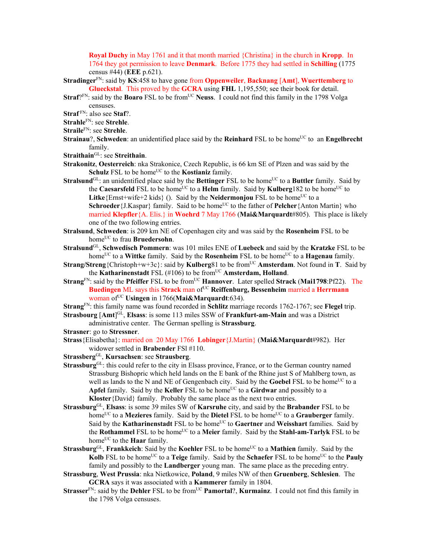**Royal Duchy** in May 1761 and it that month married {Christina} in the church in **Kropp**. In 1764 they got permission to leave **Denmark**. Before 1775 they had settled in **Schilling** (1775 census #44) (**EEE** p.621).

**Stradinger**FN: said by **KS**:458 to have gone from **Oppenweiler**, **Backnang** [**Amt**], **Wuerttemberg** to **Glueckstal**. This proved by the **GCRA** using **FHL** 1,195,550; see their book for detail.

**Straf**?FN: said by the **Boaro** FSL to be from<sup>UC</sup> Neuss. I could not find this family in the 1798 Volga censuses.

**Straf** FN: also see **Staf**?.

**Strahle**FN: see **Strehle**.

**Straile**FN: see **Strehle**.

- **Strainau**?, **Schweden**: an unidentified place said by the **Reinhard** FSL to be home<sup>UC</sup> to an **Engelbrecht** family.
- **Straithain**GL: see **Streithain**.
- **Strakonitz**, **Oesterreich**: nka Strakonice, Czech Republic, is 66 km SE of Plzen and was said by the **Schulz** FSL to be home<sup>UC</sup> to the **Kostianiz** family.
- **Stralsund**<sup>GL</sup>: an unidentified place said by the **Bettinger** FSL to be home<sup>UC</sup> to a **Buttler** family. Said by the **Caesarsfeld** FSL to be home<sup>UC</sup> to a **Helm** family. Said by **Kulberg**182 to be home<sup>UC</sup> to **Litke** {Ernst+wife+2 kids} (). Said by the **Neidermonjou** FSL to be home<sup>UC</sup> to a **Schroeder** {J.Kaspar} family. Said to be home<sup>UC</sup> to the father of **Pelcher** {Anton Martin} who married **Klepfler**{A. Elis.} in **Woehrd** 7 May 1766 (**Mai&Marquardt**#805). This place is likely one of the two following entries.
- **Stralsund**, **Schweden**: is 209 km NE of Copenhagen city and was said by the **Rosenheim** FSL to be home<sup>UC</sup> to frau **Bruedersohn**.
- **Stralsund**GL, **Schwedisch Pommern**: was 101 miles ENE of **Luebeck** and said by the **Kratzke** FSL to be home<sup>UC</sup> to a **Wittke** family. Said by the **Rosenheim** FSL to be home<sup>UC</sup> to a **Hagenau** family.
- **Strang/Streng**{Christoph+w+3c}: said by **Kulberg**81 to be from<sup>UC</sup> **Amsterdam**. Not found in **T**. Said by the **Katharinenstadt** FSL (#106) to be from<sup>UC</sup> Amsterdam, Holland.
- **Strang**FN: said by the **Pfeiffer** FSL to be fromUC **Hannover**. Later spelled **Strack** (**Mai1798**:Pf22). The **Buedingen** ML says this **Strack** man of<sup>UC</sup> Reiffenburg, Bessenheim married a Herrmann woman ofUC **Usingen** in 1766(**Mai&Marquardt**:634).

**Strang**FN: this family name was found recorded in **Schlitz** marriage records 1762-1767; see **Flegel** trip.

**Strasbourg** [**Amt**] GL, **Elsass**: is some 113 miles SSW of **Frankfurt-am-Main** and was a District administrative center. The German spelling is **Strassburg**.

**Strasner**: go to **Stressner**.

- **Strass**{Elisabetha}: married on 20 May 1766 **Lobinger**{J.Martin} (**Mai&Marquardt**#982). Her widower settled in **Brabender** FSl #110.
- **Strassberg**GL, **Kursachsen**: see **Strausberg**.
- **Strassburg**<sup>GL</sup>: this could refer to the city in Elsass province, France, or to the German country named Strassburg Bishopric which held lands on the E bank of the Rhine just S of Mahlberg town, as well as lands to the N and NE of Gengenbach city. Said by the **Goebel** FSL to be home<sup>UC</sup> to a Apfel family. Said by the **Keller** FSL to be home<sup>UC</sup> to a **Girdwar** and possibly to a **Kloster**{David} family. Probably the same place as the next two entries.
- **Strassburg**GL, **Elsass**: is some 39 miles SW of **Karsruhe** city, and said by the **Brabander** FSL to be home<sup>UC</sup> to a **Mezieres** family. Said by the **Dietel** FSL to be home<sup>UC</sup> to a **Grauberger** family. Said by the **Katharinenstadt** FSL to be home<sup>UC</sup> to Gaertner and Weisshart families. Said by the **Rothammel** FSL to be home<sup>UC</sup> to a Meier family. Said by the **Stahl-am-Tarlyk** FSL to be home<sup>UC</sup> to the **Haar** family.
- **Strassburg**<sup>GL</sup>, **Frankkeich**: Said by the **Koehler** FSL to be home<sup>UC</sup> to a **Mathien** family. Said by the **Kolb** FSL to be home<sup>UC</sup> to a **Teige** family. Said by the **Schaefer** FSL to be home<sup>UC</sup> to the **Pauly** family and possibly to the **Landberger** young man. The same place as the preceding entry.
- **Strassburg**, **West Prussia**: nka Nietkowice, **Poland**, 9 miles NW of then **Gruenberg**, **Schlesien**. The **GCRA** says it was associated with a **Kammerer** family in 1804.
- **Strasser**<sup>FN</sup>: said by the **Dehler** FSL to be from<sup>UC</sup> **Pamortal**?, **Kurmainz**. I could not find this family in the 1798 Volga censuses.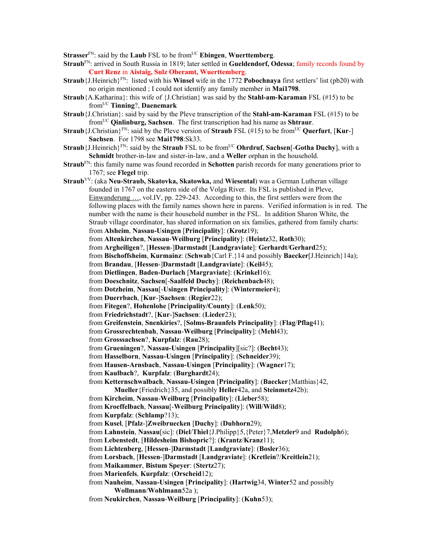**Strasser**<sup>FN</sup>: said by the **Laub** FSL to be from<sup>UC</sup> **Ebingen**, **Wuerttemberg**.

- **Straub**FN: arrived in South Russia in 1819; later settled in **Gueldendorf, Odessa**; family records found by **Curt Renz** in **Aistaig, Sulz Oberamt, Wuerttemberg**.
- **Straub**{J.Heinrich}FN: listed with his **Winsel** wife in the 1772 **Pobochnaya** first settlers' list (pb20) with no origin mentioned ; I could not identify any family member in **Mai1798**.
- **Straub**{A.Katharina}: this wife of {J.Christian} was said by the **Stahl-am-Karaman** FSL (#15) to be fromUC **Tinning**?, **Daenemark**
- **Straub**{J.Christian}: said by said by the Pleve transcription of the **Stahl-am-Karaman** FSL (#15) to be fromUC **Qinlinburg, Sachsen**. The first transcription had his name as **Shtraur**.
- **Straub**{J.Christian}<sup>FN</sup>: said by the Pleve version of **Straub** FSL (#15) to be from<sup>UC</sup> **Querfurt**, [**Kur**-] **Sachsen**. For 1798 see **Mai1798**:Sk33.
- **Straub** {J.Heinrich}<sup>FN</sup>: said by the **Straub** FSL to be from<sup>UC</sup> **Ohrdruf**, **Sachsen**[-**Gotha Duchy**], with a **Schmidt** brother-in-law and sister-in-law, and a **Weller** orphan in the household.
- **Straub**FN: this family name was found recorded in **Schotten** parish records for many generations prior to 1767; see **Flegel** trip.
- **Straub**VV: (aka **Neu-Straub, Skatovka, Skatowka,** and **Wiesental**) was a German Lutheran village founded in 1767 on the eastern side of the Volga River. Its FSL is published in Pleve, Einwanderung …, vol.IV, pp. 229-243. According to this, the first settlers were from the following places with the family names shown here in parens. Verified information is in red. The number with the name is their household number in the FSL. In addition Sharon White, the Straub village coordinator, has shared information on six families, gathered from family charts: from **Alsheim**, **Nassau-Usingen** [**Principality**]: (**Krotz**19); from **Altenkirchen**, **Nassau**-**Weilburg** [**Principality**]: (**Heintz**32, **Roth**30); from **Argheiligen**?, [**Hessen**-]**Darmstadt** [**Landgraviate**]: **Gerhardt**/**Gerhard**25); from **Bischoffsheim**, **Kurmainz**: (**Schwab**{Carl F.}14 and possibly **Baecker**[J.Heinrich}14a); from **Brandau**, [**Hessen**-]**Darmstadt** [**Landgraviate**]: (**Keil**45); from **Dietlingen**, **Baden-Durlach** [**Margraviate**]: (**Krinkel**16); from **Doeschnitz**, **Sachsen**[-**Saalfeld Duchy**]: (**Reichenbach**48); from **Dotzheim**, **Nassau**[-**Usingen Principality**]: (**Wintermeier**4); from **Duerrbach**, [**Kur**-]**Sachsen**: (**Regier**22); from **Fitegen**?, **Hohenlohe** [**Principality/County**]: (**Lenk**50); from **Friedrichstadt**?, [**Kur**-]**Sachsen**: (**Lieder**23); from **Greifenstein**, **Snenkiries**?, [**Solms-Braunfels Principality**]: (**Flag**/**Pflag**41); from **Grossrechtenbah**, **Nassau**-**Weilburg** [**Principality**]: (**Mehl**43); from **Grosssachsen**?, **Kurpfalz**: (**Rau**28); from **Grueningen**?, **Nassau-Usingen** [**Principality**][sic?]: (**Becht**43); from **Hasselborn**, **Nassau-Usingen** [**Principality**]: (**Schneider**39); from **Hausen-Arnsbach**, **Nassau-Usingen** [**Principality**]: (**Wagner**17); from **Kaulbach**?, **Kurpfalz**: (**Burghardt**24); from **Ketternschwalbach**, **Nassau-Usingen** [**Principality**]: (**Baecker**{Matthias}42, **Mueller**{Friedrich}35, and possibly **Heller**42a, and **Steinmetz**42b); from **Kircheim**, **Nassau**-**Weilburg** [**Principality**]: (**Lieber**58); from **Kroeffelbach**, **Nassau**[-**Weilburg Principality**]: (**Will**/**Wild**8); from **Kurpfalz**: (**Schlamp**?13); from **Kusel**, [**Pfalz**-]**Zweibruecken** [**Duchy**]: (**Dubhorn**29); from **Lahnstein**, **Nassau**[sic]: (**Diel**/**Thiel**{J.Philipp}5,{Peter}7,**Metzler**9 and **Rudolph**6); from **Lebenstedt**, [**Hildesheim Bishopric**?]: (**Krantz**/**Kranz**11); from **Lichtenberg**, [**Hessen**-]**Darmstadt** [**Landgraviate**]: (**Bosler**36); from **Lorsbach**, [**Hessen**-]**Darmstadt** [**Landgraviate**]: (**Kretlein**?/**Kreitlein**21); from **Maikammer**, **Bistum Speyer**: (**Stertz**27); from **Marienfels**, **Kurpfalz**: (**Orscheid**12); from **Nauheim**, **Nassau-Usingen** [**Principality**]: (**Hartwig**34, **Winter**52 and possibly
	- **Wollmann**/**Wohlmann**52a );
	- from **Neukirchen**, **Nassau**-**Weilburg** [**Principality**]: (**Kuhn**53);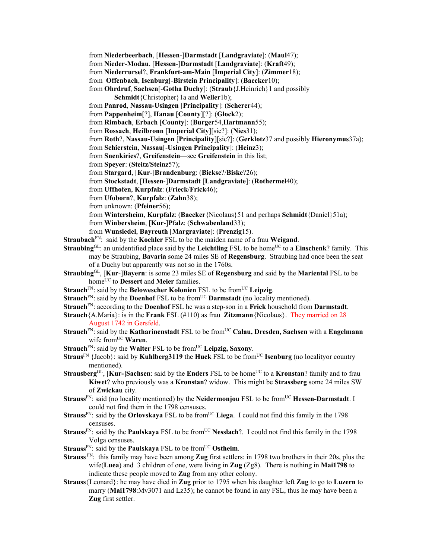from **Niederbeerbach**, [**Hessen**-]**Darmstadt** [**Landgraviate**]: (**Maul**47);

from **Nieder-Modau**, [**Hessen**-]**Darmstadt** [**Landgraviate**]: (**Kraft**49);

from **Niederrursel**?, **Frankfurt-am-Main** [**Imperial City**]: (**Zimmer**18);

from **Offenbach**, **Isenburg**[-**Birstein Principality**]: (**Baecker**10);

from **Ohrdruf**, **Sachsen**[-**Gotha Duchy**]: (**Straub**{J.Heinrich}1 and possibly

**Schmidt**{Christopher}1a and **Weller**1b);

from **Panrod**, **Nassau-Usingen** [**Principality**]: (**Scherer**44);

from **Pappenheim**[?], **Hanau** [**County**][?]: (**Glock**2);

from **Rimbach**, **Erbach** [**County**]: (**Burger**54,**Hartmann**55);

from **Rossach**, **Heilbronn** [**Imperial City**][sic?]: (**Nies**31);

from **Roth**?, **Nassau-Usingen** [**Principality**][sic?]: (**Gerklotz**37 and possibly **Hieronymus**37a);

from **Schierstein**, **Nassau**[-**Usingen Principality**]: (**Heinz**3);

from **Snenkiries**?, **Greifenstein**—see **Greifenstein** in this list;

from **Speyer**: (**Steitz**/**Steinz**57);

from **Stargard**, [**Kur**-]**Brandenburg**: (**Biekse**?/**Biske**?26);

from **Stockstadt**, [**Hessen**-]**Darmstadt** [**Landgraviate**]: (**Rothermel**40);

from **Uffhofen**, **Kurpfalz**: (**Frieck**/**Frick**46);

from **Ufoborn**?, **Kurpfalz**: (**Zahn**38);

from unknown: (**Pfeiner**56);

from **Wintersheim**, **Kurpfalz**: (**Baecker**{Nicolaus}51 and perhaps **Schmidt**{Daniel}51a);

from **Winbersheim**, [**Kur**-]**Pfalz**: (**Schwabenland**33);

from **Wunsiedel**, **Bayreuth** [**Margraviate**]: (**Prenzig**15).

**Straubach**FN: said by the **Koehler** FSL to be the maiden name of a frau **Weigand**.

- **Straubing**<sup>GL</sup>: an unidentified place said by the **Leichtling** FSL to be home<sup>UC</sup> to a **Einschenk**? family. This may be Straubing, **Bavaria** some 24 miles SE of **Regensburg**. Straubing had once been the seat of a Duchy but apparently was not so in the 1760s.
- **Straubing**GL, [**Kur**-]**Bayern**: is some 23 miles SE of **Regensburg** and said by the **Mariental** FSL to be home<sup>UC</sup> to **Dessert** and **Meier** families.

**Strauch**<sup>FN</sup>: said by the **Belowescher Kolonien** FSL to be from<sup>UC</sup> Leipzig.

- **Strauch**<sup>FN</sup>: said by the **Doenhof** FSL to be from<sup>UC</sup> **Darmstadt** (no locality mentioned).
- **Strauch**FN: according to the **Doenhof** FSL he was a step-son in a **Frick** household from **Darmstadt**.
- **Strauch**{A.Maria}: is in the **Frank** FSL (#110) as frau **Zitzmann**{Nicolaus}. They married on 28 August 1742 in Gersfeld.
- **Strauch**<sup>FN</sup>: said by the **Katharinenstadt** FSL to be from<sup>UC</sup> **Calau, Dresden, Sachsen** with a **Engelmann** wife from<sup>UC</sup> Waren.
- **Strauch**<sup>FN</sup>: said by the **Walter** FSL to be from<sup>UC</sup> Leipzig, Saxony.
- **Straus**<sup>FN</sup> {Jacob}: said by **Kuhlberg3119** the **Huck** FSL to be from<sup>UC</sup> **Isenburg** (no localityor country mentioned).
- **Strausberg**<sup>GL</sup>, [**Kur-**]**Sachsen**: said by the **Enders** FSL to be home<sup>UC</sup> to a **Kronstan**? family and to frau **Kiwet**? who previously was a **Kronstan**? widow. This might be **Strassberg** some 24 miles SW of **Zwickau** city.
- **Strauss**<sup>FN</sup>: said (no locality mentioned) by the **Neidermonjou** FSL to be from<sup>UC</sup> **Hessen-Darmstadt**. I could not find them in the 1798 censuses.
- **Strauss**<sup>FN</sup>: said by the **Orlovskaya** FSL to be from<sup>UC</sup> Liega. I could not find this family in the 1798 censuses.
- **Strauss**<sup>FN</sup>: said by the **Paulskaya** FSL to be from<sup>UC</sup> **Nesslach**?. I could not find this family in the 1798 Volga censuses.
- **Strauss**<sup>FN</sup>: said by the **Paulskaya** FSL to be from<sup>UC</sup> Ostheim.
- **Strauss** FN: this family may have been among **Zug** first settlers: in 1798 two brothers in their 20s, plus the wife(**Luea**) and 3 children of one, were living in **Zug** (Zg8). There is nothing in **Mai1798** to indicate these people moved to **Zug** from any other colony.
- **Strauss**{Leonard}: he may have died in **Zug** prior to 1795 when his daughter left **Zug** to go to **Luzern** to marry (Mai1798:Mv3071 and Lz35); he cannot be found in any FSL, thus he may have been a **Zug** first settler.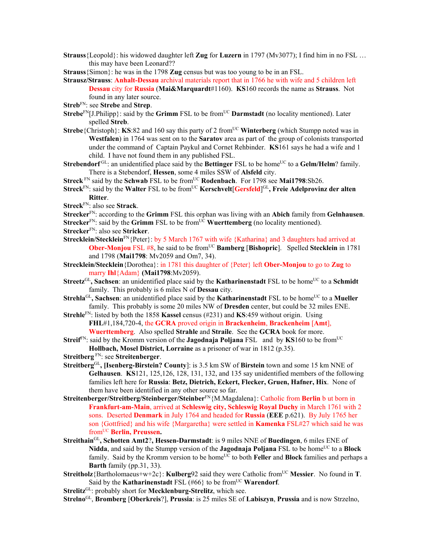- **Strauss**{Leopold}: his widowed daughter left **Zug** for **Luzern** in 1797 (Mv3077); I find him in no FSL … this may have been Leonard??
- **Strauss**{Simon}: he was in the 1798 **Zug** census but was too young to be in an FSL.
- **Strausz/Strauss**: **Anhalt-Dessau** archival materials report that in 1766 he with wife and 5 children left **Dessau** city for **Russia** (**Mai&Marquardt**#1160). **KS**160 records the name as **Strauss**. Not found in any later source.
- **Streb**FN: see **Strebe** and **Strep**.
- **Strebe**<sup>FN</sup>[J.Philipp}: said by the **Grimm** FSL to be from<sup>UC</sup> **Darmstadt** (no locality mentioned). Later spelled **Streb**.
- **Strebe**{Christoph}: **KS**:82 and 160 say this party of 2 from<sup>UC</sup> **Winterberg** (which Stumpp noted was in **Westfalen**) in 1764 was sent on to the **Saratov** area as part of the group of colonists transported under the command of Captain Paykul and Cornet Rehbinder. **KS**161 says he had a wife and 1 child. I have not found them in any published FSL.
- **Strebendorf** GL: an unidentified place said by the **Bettinger** FSL to be home<sup>UC</sup> to a **Gelm/Helm**? family. There is a Stebendorf, **Hessen**, some 4 miles SSW of **Alsfeld** city.
- **Streck** FN said by the **Schwab** FSL to be from<sup>UC</sup> **Rodenbach**. For 1798 see **Mai1798**:Sb26.
- **Streck**<sup>FN</sup>: said by the **Walter** FSL to be from<sup>UC</sup> **Kerschvelt**[**Gersfeld**]<sup>GL</sup>, Freie Adelprovinz der alten **Ritter**.
- **Streck**FN: also see **Strack**.
- **Strecker**FN: according to the **Grimm** FSL this orphan was living with an **Abich** family from **Gelnhausen**.
- **Strecker**<sup>FN</sup>: said by the **Grimm** FSL to be from<sup>UC</sup> **Wuerttemberg** (no locality mentioned).
- **Strecker**FN: also see **Stricker**.
- Strecklein/Stecklein<sup>FN</sup>{Peter}: by 5 March 1767 with wife {Katharina} and 3 daughters had arrived at **Ober-Monjou** FSL #8, he said to be from<sup>UC</sup> **Bamberg** [Bishopric]. Spelled Stecklein in 1781 and 1798 (**Mai1798**: Mv2059 and Om7, 34).
- **Strecklein/Stecklein**{Dorothea}: in 1781 this daughter of {Peter} left **Ober-Monjou** to go to **Zug** to marry **Ihl**{Adam} **(Mai1798**:Mv2059).
- **Streetz**<sup>GL</sup>, Sachsen: an unidentified place said by the **Katharinenstadt** FSL to be home<sup>UC</sup> to a Schmidt family. This probably is 6 miles N of **Dessau** city.
- **Strehla**<sup>GL</sup>, Sachsen: an unidentified place said by the **Katharinenstadt** FSL to be home<sup>UC</sup> to a **Mueller** family. This probably is some 20 miles NW of **Dresden** center, but could be 32 miles ENE.
- **Strehle**FN: listed by both the 1858 **Kassel** census (#231) and **KS**:459 without origin. Using **FHL**#1,184,720-4, the **GCRA** proved origin in **Brackenheim**, **Brackenheim** [**Amt**], **Wuerttemberg**. Also spelled **Strahle** and **Straile**. See the **GCRA** book for more.
- **Streif**<sup>FN</sup>: said by the Kromm version of the **Jagodnaja Poljana** FSL and by **KS**160 to be from<sup>UC</sup> **Hollbach, Mosel District, Lorraine** as a prisoner of war in 1812 (p.35).
- **Streitberg** FN: see **Streitenberger**.
- **Streitberg**GL**, [Isenberg-Birstein? County**]: is 3.5 km SW of **Birstein** town and some 15 km NNE of **Gelhausen**. **KS**121, 125,126, 128, 131, 132, and 135 say unidentified members of the following families left here for **Russia**: **Betz, Dietrich, Eckert, Flecker, Gruen, Hafner, Hix**. None of them have been identified in any other source so far.
- **Streitenberger/Streitberg/Steinberger/Steinber**FN{M.Magdalena}: Catholic from **Berlin** b ut born in **Frankfurt-am-Main**, arrived at **Schleswig city, Schleswig Royal Duchy** in March 1761 with 2 sons. Deserted **Denmark** in July 1764 and headed for **Russia** (**EEE** p.621). By July 1765 her son {Gottfried} and his wife {Margaretha} were settled in **Kamenka** FSL#27 which said he was from<sup>UC</sup> Berlin, Preussen.
- **Streithain**GL**, Schotten Amt2**?**, Hessen-Darmstadt**: is 9 miles NNE of **Buedingen**, 6 miles ENE of **Nidda**, and said by the Stumpp version of the **Jagodnaja Poljana** FSL to be home<sup>UC</sup> to a **Block** family. Said by the Kromm version to be home<sup>UC</sup> to both **Feller** and **Block** families and perhaps a **Barth** family (pp.31, 33).
- **Streitholz**{Bartholomaeus+w+2c}: **Kulberg**92 said they were Catholic from<sup>UC</sup> Messier. No found in **T**. Said by the **Katharinenstadt** FSL  $(466)$  to be from<sup>UC</sup> **Warendorf**.
- **Strelitz**<sup>GL</sup>: probably short for **Mecklenburg-Strelitz**, which see.

**Strelno**GL, **Bromberg** [**Oberkreis**?], **Prussia**: is 25 miles SE of **Labiszyn**, **Prussia** and is now Strzelno,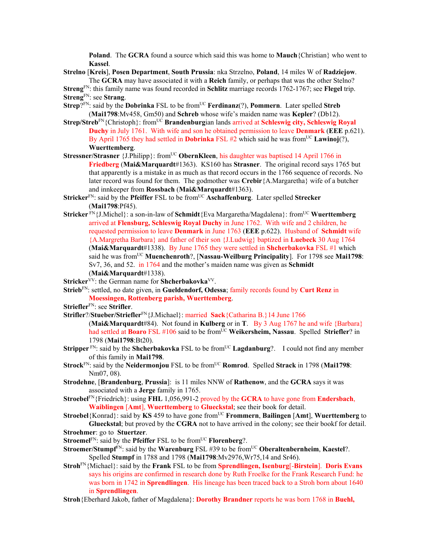**Poland**. The **GCRA** found a source which said this was home to **Mauch**{Christian} who went to **Kassel**.

**Strelno** [**Kreis**], **Posen Department**, **South Prussia**: nka Strzelno, **Poland**, 14 miles W of **Radziejow**. The **GCRA** may have associated it with a **Reich** family, or perhaps that was the other Stelno?

**Streng**FN: this family name was found recorded in **Schlitz** marriage records 1762-1767; see **Flegel** trip. **Streng**FN: see **Strang**.

- **Strep**<sup>?FN</sup>: said by the **Dobrinka** FSL to be from<sup>UC</sup> **Ferdinanz**(?), **Pommern**. Later spelled **Streb** (**Mai1798**:Mv458, Gm50) and **Schreb** whose wife's maiden name was **Kepler**? (Db12).
- **Strep/Streb**FN{Christoph}: fromUC **Brandenburg**ian lands arrived at **Schleswig city, Schleswig Royal Duchy** in July 1761. With wife and son he obtained permission to leave **Denmark** (**EEE** p.621). By April 1765 they had settled in **Dobrinka** FSL #2 which said he was from<sup>UC</sup> Lawinoj(?), **Wuerttemberg**.
- **Stressner/Strasner** {J.Philipp}: from<sup>UC</sup> **ObernKleen**, his daughter was baptised 14 April 1766 in **Friedberg** (**Mai&Marquardt**#1363). KS160 has **Strasner**. The original record says 1765 but that apparently is a mistake in as much as that record occurs in the 1766 sequence of records. No later record was found for them. The godmother was **Crebir**{A.Margaretha} wife of a butcher and innkeeper from **Rossbach** (**Mai&Marquardt**#1363).
- **Stricker**<sup>FN</sup>: said by the **Pfeiffer** FSL to be from<sup>UC</sup> **Aschaffenburg**. Later spelled **Strecker** (**Mai1798**:Pf45).
- **Stricker**  $\text{FN}_{1}$ [J.Michel}: a son-in-law of **Schmidt**{Eva Margaretha/Magdalena}: from<sup>UC</sup> **Wuerttemberg** arrived at **Flensburg, Schleswig Royal Duchy** in June 1762. With wife and 2 children, he requested permission to leave **Denmark** in June 1763 (**EEE** p.622). Husband of **Schmidt** wife {A.Margretha Barbara} and father of their son {J.Ludwig} baptized in **Luebeck** 30 Aug 1764 (**Mai&Marquardt**#1338). By June 1765 they were settled in **Shcherbakovka** FSL #1 which said he was fromUC **Muenchenroth**?, [**Nassau-Weilburg Principality**]. For 1798 see **Mai1798**: Sv7, 36, and 52. in 1764 and the mother's maiden name was given as **Schmidt**  (**Mai&Marquardt**#1338).
- **Stricker**<sup>VV</sup>: the German name for **Shcherbakovka**<sup>VV</sup>.
- **Strieb**FN: settled, no date given, in **Gueldendorf, Odessa**; family records found by **Curt Renz** in **Moessingen, Rottenberg parish, Wuerttemberg**.
- **Striefler**FN: see **Strifler**.
- **Strifler**?/**Stueber/Striefler**FN{J.Michael}: married **Sack**{Catharina B.}14 June 1766
- (**Mai&Marquardt**#84). Not found in **Kulberg** or in **T**. By 3 Aug 1767 he and wife {Barbara} had settled at **Boaro** FSL #106 said to be from<sup>UC</sup> Weikersheim, Nassau. Spelled Striefler? in 1798 (**Mai1798**:Bt20).
- **Stripper** FN: said by the **Shcherbakovka** FSL to be from<sup>UC</sup> **Lagdanburg**?. I could not find any member of this family in **Mai1798**.
- **Strock**<sup>FN</sup>: said by the **Neidermonjou** FSL to be from<sup>UC</sup> **Romrod**. Spelled **Strack** in 1798 (**Mai1798**: Nm07, 08).
- **Strodehne**, [**Brandenburg**, **Prussia**]: is 11 miles NNW of **Rathenow**, and the **GCRA** says it was associated with a **Jerge** family in 1765.
- **Stroebel**FN{Friedrich}: using **FHL** 1,056,991-2 proved by the **GCRA** to have gone from **Endersbach**, **Waiblingen** [**Amt**], **Wuerttemberg** to **Glueckstal**; see their book for detail.
- **Stroebel**{Konrad}: said by **KS** 459 to have gone fromUC **Frommern**, **Bailingen** [**Amt**], **Wuerttemberg** to **Glueckstal**; but proved by the **CGRA** not to have arrived in the colony; see their bookf for detail.
- **Stroehmer**: go to **Stuertzer**.
- **Stroemel**FN: said by the **Pfeiffer** FSL to be from<sup>UC</sup> **Florenberg**?.
- **Stroemer/Stumpf**FN: said by the **Warenburg** FSL #39 to be fromUC **Oberaltenbernheim**, **Kaestel**?. Spelled **Stumpf** in 1788 and 1798 (**Mai1798**:Mv2976,Wr75,14 and Sr46).
- **Stroh**FN{Michael}: said by the **Frank** FSL to be from **Sprendlingen, Isenburg**[-**Birstein**]. **Doris Evans** says his origins are confirmed in research done by Ruth Froelke for the Frank Research Fund: he was born in 1742 in **Sprendlingen**. His lineage has been traced back to a Stroh born about 1640 in **Sprendlingen**.
- **Stroh**{Eberhard Jakob, father of Magdalena}: **Dorothy Brandner** reports he was born 1768 in **Buehl,**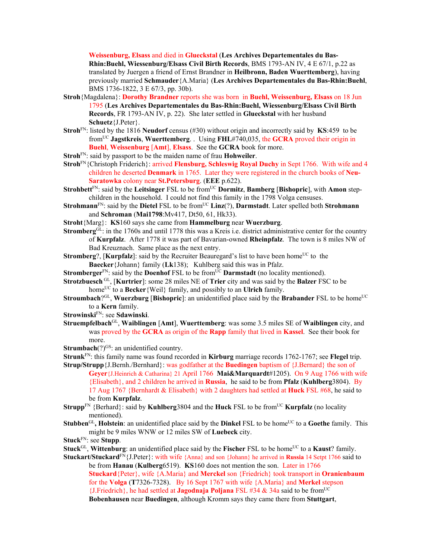**Weissenburg, Elsass** and died in **Glueckstal** (**Les Archives Departementales du Bas-Rhin:Buehl, Wiessenburg/Elsass Civil Birth Records**, BMS 1793-AN IV, 4 E 67/1, p.22 as translated by Juergen a friend of Ernst Brandner in **Heilbronn, Baden Wuerttemberg**), having previously married **Schmauder**{A.Maria} (**Les Archives Departementales du Bas-Rhin:Buehl**, BMS 1736-1822, 3 E 67/3, pp. 30b).

- **Stroh**{Magdalena}: **Dorothy Brandner** reports she was born in **Buehl, Weissenburg, Elsass** on 18 Jun 1795 (**Les Archives Departementales du Bas-Rhin:Buehl, Wiessenburg/Elsass Civil Birth Records**, FR 1793-AN IV, p. 22). She later settled in **Glueckstal** with her husband **Schuetz**{J.Peter}.
- **Stroh**FN: listed by the 1816 **Neudorf** census (#30) without origin and incorrectly said by **KS**:459 to be fromUC **Jagstkreis**, **Wuerttemberg**. . Using **FHL**#740,035, the **GCRA** proved their origin in **Buehl**, **Weissenburg** [**Amt**], **Elsass**. See the **GCRA** book for more.
- **Stroh**FN: said by passport to be the maiden name of frau **Hohweiler**.
- **Stroh**FN{Christoph Friderich}: arrived **Flensburg, Schleswig Royal Duchy** in Sept 1766. With wife and 4 children he deserted **Denmark** in 1765. Later they were registered in the church books of **Neu-Saratowka** colony near **St.Petersburg**. (**EEE** p.622).
- **Strohbett**FN: said by the **Leitsinger** FSL to be fromUC **Dormitz**, **Bamberg** [**Bishopric**], with **Amon** stepchildren in the household. I could not find this family in the 1798 Volga censuses.
- **Strohmann**<sup>FN</sup>: said by the **Dietel** FSL to be from<sup>UC</sup> **Linz**(?), **Darmstadt**. Later spelled both **Strohmann** and **Schroman** (**Mai1798**:Mv417, Dt50, 61, Hk33).
- **Stroht**{Marg}: **KS**160 says she came from **Hammelburg** near **Wuerzburg**.
- **Stromberg**<sup>GL</sup>: in the 1760s and until 1778 this was a Kreis i.e. district administrative center for the country of **Kurpfalz**. After 1778 it was part of Bavarian-owned **Rheinpfalz**. The town is 8 miles NW of Bad Kreuznach. Same place as the next entry.
- **Stromberg**?, [Kurpfalz]: said by the Recruiter Beauregard's list to have been home<sup>UC</sup> to the **Baecker**{Johann} family (**Lk**138); Kuhlberg said this was in Pfalz.
- **Stromberger**<sup>FN</sup>: said by the **Doenhof** FSL to be from<sup>UC</sup> **Darmstadt** (no locality mentioned).
- **Strotzbuesch** GL, [**Kurtrier**]: some 28 miles NE of **Trier** city and was said by the **Balzer** FSC to be home<sup>UC</sup> to a **Becker** {Weil} family, and possibly to an **Ulrich** family.
- **Stroumbach**?<sup>GL</sup>, **Wuerzburg** [Bishopric]: an unidentified place said by the Brabander FSL to be home<sup>UC</sup> to a **Kern** family.
- **Strowinski**FN: see **Sdawinski**.
- **Struempfelbach**GL, **Waiblingen** [**Amt**], **Wuerttemberg**: was some 3.5 miles SE of **Waiblingen** city, and was proved by the **GCRA** as origin of the **Rapp** family that lived in **Kassel**. See their book for more.
- **Strumbach** $(?)^{GS}$ : an unidentified country.
- **Strunk**FN: this family name was found recorded in **Kirburg** marriage records 1762-1767; see **Flegel** trip.
- **Strup/Strupp**{J.Bernh./Bernhard}: was godfather at the **Buedingen** baptism of {J.Bernard} the son of **Geyer**{J.Heinrich & Catharina} 21 April 1766 **Mai&Marquardt**#1205). On 9 Aug 1766 with wife {Elisabeth}, and 2 children he arrived in **Russia**, he said to be from **Pfalz** (**Kuhlberg**3804). By 17 Aug 1767 {Bernhardt & Elisabeth} with 2 daughters had settled at **Huck** FSL #68, he said to be from **Kurpfalz**.
- **Strupp**<sup>FN</sup> {Berhard}: said by **Kuhlberg**3804 and the **Huck** FSL to be from<sup>UC</sup> **Kurpfalz** (no locality mentioned).
- **Stubben**<sup>GL</sup>, **Holstein**: an unidentified place said by the **Dinkel** FSL to be home<sup>UC</sup> to a Goethe family. This might be 9 miles WNW or 12 miles SW of **Luebeck** city.
- **Stuck**FN: see **Stupp**.
- **Stuck**<sup>GL</sup>, **Wittenburg**: an unidentified place said by the **Fischer** FSL to be home<sup>UC</sup> to a **Kaust**? family.
- **Stuckart/Stuckard**FN{J.Peter}: with wife {Anna} and son {Johann} he arrived in **Russia** 14 Setpt 1766 said to be from **Hanau** (**Kulberg**6519). **KS**160 does not mention the son. Later in 1766 **Stuckard**{Peter}, wife {A.Maria} and **Merckel** son {Friedrich} took transport in **Oranienbaum**  for the **Volga** (**T**7326-7328). By 16 Sept 1767 with wife {A.Maria} and **Merkel** stepson {J.Friedrich}, he had settled at **Jagodnaja Poljana** FSL #34 & 34a said to be fromUC **Bobenhausen** near **Buedingen**, although Kromm says they came there from **Stuttgart**,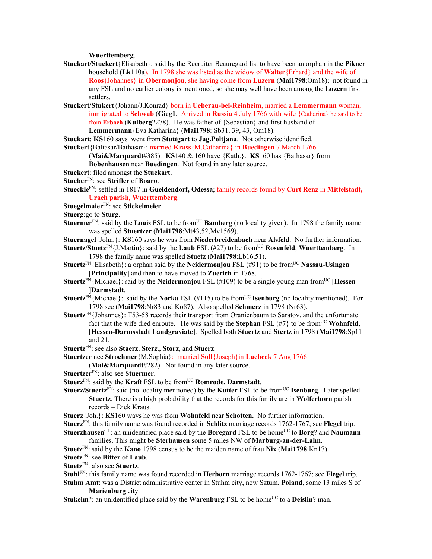## **Wuerttemberg**.

- **Stuckart/Stuckert**{Elisabeth}; said by the Recruiter Beauregard list to have been an orphan in the **Pikner** household (**Lk**110a). In 1798 she was listed as the widow of **Walter**{Erhard} and the wife of **Roos**{Johannes} in **Obermonjou**, she having come from **Luzern** (**Mai1798**;Om18); not found in any FSL and no earlier colony is mentioned, so she may well have been among the **Luzern** first settlers.
- **Stuckert/Stukert**{Johann/J.Konrad} born in **Ueberau-bei-Reinheim**, married a **Lemmermann** woman, immigrated to **Schwab** (**Gieg1**, Arrived in **Russia** 4 July 1766 with wife {Catharina} he said to be from **Erbach** (**Kulberg**2278). He was father of {Sebastian} and first husband of **Lemmermann**{Eva Katharina} (**Mai1798**: Sb31, 39, 43, Om18).
- **Stuckart**: **KS**160 says went from **Stuttgart** to **Jag.Poltjana**. Not otherwise identified.
- **Stuckert**{Baltasar/Bathasar}: married **Krass**{M.Catharina} in **Buedingen** 7 March 1766
	- (**Mai&Marquardt**#385). **KS**140 & 160 have {Kath.}. **KS**160 has {Bathasar} from
	- **Bobenhausen** near **Buedingen**. Not found in any later source.
- **Stuckert**: filed amongst the **Stuckart**.
- **Stueber**FN: see **Strifler** of **Boaro**.
- **Stueckle**FN: settled in 1817 in **Gueldendorf, Odessa**; family records found by **Curt Renz** in **Mittelstadt, Urach parish, Wuerttemberg**.
- **Stuegelmaier**FN: see **Stickelmeier**.
- **Stuerg**:go to **Sturg**.
- **Stuermer**<sup>FN</sup>: said by the **Louis** FSL to be from<sup>UC</sup> **Bamberg** (no locality given). In 1798 the family name was spelled **Stuertzer** (**Mai1798**:Mt43,52,Mv1569).
- **Stuernagel**{John.}: **KS**160 says he was from **Niederbreidenbach** near **Alsfeld**. No further information.
- **Stuertz/Stuetz**<sup>FN</sup>{J.Martin}: said by the **Laub** FSL (#27) to be from<sup>UC</sup> **Rosenfeld**, **Wuerttemberg**. In 1798 the family name was spelled **Stuetz** (**Mai1798**:Lb16,51).
- **Stuertz**FN{Elisabeth}: a orphan said by the **Neidermonjou** FSL (#91) to be fromUC **Nassau-Usingen** [**Principality**] and then to have moved to **Zuerich** in 1768.
- **Stuertz**<sup>FN</sup>{Michael}: said by the **Neidermonjou** FSL (#109) to be a single young man from<sup>UC</sup> [**Hessen**-]**Darmstadt**.
- **Stuertz**<sup>FN</sup>{Michael}: said by the **Norka** FSL (#115) to be from<sup>UC</sup> **Isenburg** (no locality mentioned). For 1798 see (**Mai1798**:Nr83 and Ko87). Also spelled **Schmerz** in 1798 (Nr63).
- **Stuertz**<sup>FN</sup>{Johannes}: T53-58 records their transport from Oranienbaum to Saratov, and the unfortunate fact that the wife died enroute. He was said by the **Stephan** FSL  $(\#7)$  to be from<sup>UC</sup> **Wohnfeld**, [**Hessen-Darmsstadt Landgraviate**]. Spelled both **Stuertz** and **Stertz** in 1798 (**Mai1798**:Sp11 and 21.
- **Stuertz**FN: see also **Staerz**, **Sterz**., **Storz**, and **Stuerz**.
- **Stuertzer** nee **Stroehmer**{M.Sophia}: married **Soll**{Joseph}in **Luebeck** 7 Aug 1766

(**Mai&Marquardt**#282). Not found in any later source.

- **Stuertzer**FN: also see **Stuermer**.
- **Stuerz**FN: said by the **Kraft** FSL to be fromUC **Romrode, Darmstadt**.
- **Stuerz/Stuertz**<sup>FN</sup>: said (no locality mentioned) by the **Kutter** FSL to be from<sup>UC</sup> **Isenburg**. Later spelled **Stuertz**. There is a high probability that the records for this family are in **Wolferborn** parish records – Dick Kraus.
- **Stuerz**{Joh.}: **KS**160 ways he was from **Wohnfeld** near **Schotten.** No further information.
- **Stuerz**FN: this family name was found recorded in **Schlitz** marriage records 1762-1767; see **Flegel** trip. **Stuerzhausen**<sup>GL</sup>: an unidentified place said by the **Boregard** FSL to be home<sup>UC</sup> to **Borg**? and **Naumann** 
	- families. This might be **Sterhausen** some 5 miles NW of **Marburg-an-der-Lahn**.
- **Stuetz**FN: said by the **Kano** 1798 census to be the maiden name of frau **Nix** (**Mai1798**:Kn17). **Stuetz**FN: see **Bitter** of **Laub**.
- 
- **Stuetz**FN: also see **Stuertz**.
- **Stuhl**FN: this family name was found recorded in **Herborn** marriage records 1762-1767; see **Flegel** trip.
- **Stuhm Amt**: was a District administrative center in Stuhm city, now Sztum, **Poland**, some 13 miles S of **Marienburg** city.
- **Stukelm**?: an unidentified place said by the **Warenburg** FSL to be home<sup>UC</sup> to a **Deislin**? man.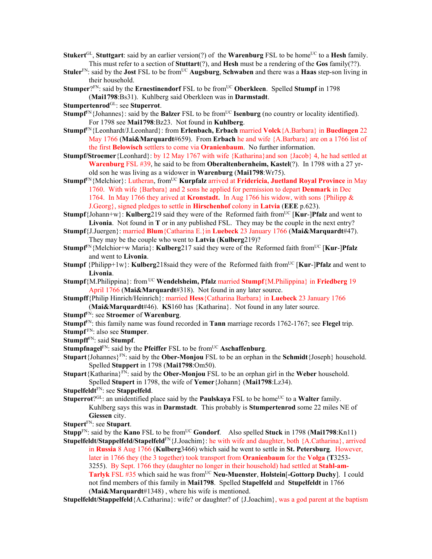- **Stukert**<sup>GL</sup>, **Stuttgart**: said by an earlier version(?) of the **Warenburg** FSL to be home<sup>UC</sup> to a **Hesh** family. This must refer to a section of **Stuttart**(?), and **Hesh** must be a rendering of the **Gos** family(??).
- **Stuler**<sup>FN</sup>: said by the **Jost** FSL to be from<sup>UC</sup> **Augsburg**, **Schwaben** and there was a **Haas** step-son living in their household.
- **Stumper**?FN: said by the **Ernestinendorf** FSL to be from<sup>UC</sup> Oberkleen. Spelled Stumpf in 1798 (**Mai1798**:Bs31). Kuhlberg said Oberkleen was in **Darmstadt**.
- **Stumpertenrod**GL: see **Stuperrot**.
- **Stumpf<sup>FN</sup>**{Johannes}: said by the **Balzer** FSL to be from<sup>UC</sup> **Isenburg** (no country or locality identified). For 1798 see **Mai1798**:Bz23. Not found in **Kuhlberg**.
- **Stumpf**FN{Leonhardt/J.Leonhard}: from **Erlenbach, Erbach** married **Volck**{A.Barbara} in **Buedingen** 22 May 1766 (**Mai&Marquardt**#659). From **Erbach** he and wife {A.Barbara} are on a 1766 list of the first **Belowisch** settlers to come via **Oranienbaum**. No further information.
- **Stumpf/Stroemer**{Leonhard}: by 12 May 1767 with wife {Katharina}and son {Jacob} 4, he had settled at **Warenburg** FSL #39, he said to be from **Oberaltenbernheim, Kastel**(?). In 1798 with a 27 yrold son he was living as a widower in **Warenburg** (**Mai1798**:Wr75).
- **Stumpf**FN{Melchior}: Lutheran, fromUC **Kurpfalz** arrived at **Fridericia, Juetland Royal Province** in May 1760. With wife {Barbara} and 2 sons he applied for permission to depart **Denmark** in Dec 1764. In May 1766 they arived at **Kronstadt.** In Aug 1766 his widow, with sons {Philipp & J.Georg}, signed pledges to settle in **Hirschenhof** colony in **Latvia** (**EEE** p.623).
- **Stumpf**{Johann+w}: **Kulberg**219 said they were of the Reformed faith from<sup>UC</sup> [**Kur-**]**Pfalz** and went to **Livonia**. Not found in **T** or in any published FSL. They may be the couple in the next entry?
- **Stumpf**{J.Juergen}: married **Blum**{Catharina E.}in **Luebeck** 23 January 1766 (**Mai&Marquardt**#47). They may be the couple who went to **Latvia** (**Kulberg**219)?
- **Stumpf**FN{Melchior+w Maria}: **Kulberg**217 said they were of the Reformed faith fromUC [**Kur**-]**Pfalz** and went to **Livonia**.
- **Stumpf** {Philipp+1w}: **Kulberg**218said they were of the Reformed faith from<sup>UC</sup> [**Kur-]Pfalz** and went to **Livonia**.
- **Stumpf**{M.Philippina}: from UC **Wendelsheim, Pfalz** married **Stumpf**{M.Philippina} in **Friedberg** 19 April 1766 (**Mai&Marquardt**#318). Not found in any later source.
- **Stumpff**{Philip Hinrich/Heinrich}: married **Hess**{Catharina Barbara} in **Luebeck** 23 January 1766 (**Mai&Marquardt**#46). **KS**160 has {Katharina}. Not found in any later source.
- **Stumpf**FN: see **Stroemer** of **Warenburg**.
- **Stumpf**FN: this family name was found recorded in **Tann** marriage records 1762-1767; see **Flegel** trip.
- **Stumpf** FN: also see **Stumper**.
- **Stumpff**FN: said **Stumpf**.
- **Stumpfnagel**<sup>FN</sup>: said by the **Pfeiffer** FSL to be from<sup>UC</sup> **Aschaffenburg**.
- **Stupart**{Johannes} $F_N$ : said by the **Ober-Monjou** FSL to be an orphan in the **Schmidt**{Joseph} household. Spelled **Stuppert** in 1798 (**Mai1798**:Om50).
- **Stupart**{Katharina}FN: said by the **Ober-Monjou** FSL to be an orphan girl in the **Weber** household. Spelled **Stupert** in 1798, the wife of **Yemer**{Johann} (**Mai1798**:Lz34).
- **Stupelfeldt**FN: see **Stappelfeld**.
- **Stuperrot**?<sup>GL</sup>: an unidentified place said by the **Paulskaya** FSL to be home<sup>UC</sup> to a **Walter** family. Kuhlberg says this was in **Darmstadt**. This probably is **Stumpertenrod** some 22 miles NE of **Giessen** city.
- **Stupert**FN: see **Stupart**.
- **Stupp**<sup>FN</sup>: said by the **Kano** FSL to be from<sup>UC</sup> **Gondorf.** Also spelled **Stuck** in 1798 (**Mai1798**:Kn11)
- **Stupelfeldt/Stappelfeld/Stapelfeld**<sup>FN</sup>{J.Joachim}: he with wife and daughter, both {A.Catharina}, arrived in **Russia** 8 Aug 1766 (**Kulberg**3466) which said he went to settle in **St. Petersburg**. However, later in 1766 they (the 3 together) took transport from **Oranienbaum** for the **Volga** (**T**3253- 3255). By Sept. 1766 they (daughter no longer in their household) had settled at **Stahl-am-**Tarlyk FSL #35 which said he was from<sup>UC</sup> Neu-Muenster, Holstein<sup>[</sup>-Gottorp Duchy]. I could not find members of this family in **Mai1798**. Spelled **Stapelfeld** and **Stupelfeldt** in 1766 (**Mai&Marquardt**#1348) , where his wife is mentioned.
- **Stupelfeldt/Stappelfeld** {A.Catharina}: wife? or daughter? of {J.Joachim}, was a god parent at the baptism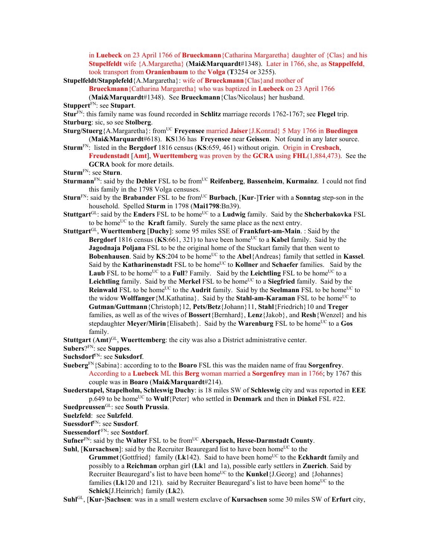in **Luebeck** on 23 April 1766 of **Brueckmann**{Catharina Margaretha} daughter of {Clas} and his **Stupelfeldt** wife {A.Margaretha} (**Mai&Marquardt**#1348). Later in 1766, she, as **Stappelfeld**, took transport from **Oranienbaum** to the **Volga** (**T**3254 or 3255).

**Stupelfeldt/Stapplefeld**{A.Margaretha}: wife of **Brueckmann**{Clas}and mother of

**Brueckmann**{Catharina Margaretha} who was baptized in **Luebeck** on 23 April 1766

(**Mai&Marquardt**#1348). See **Brueckmann**{Clas/Nicolaus} her husband.

**Stuppert**FN: see **Stupart**.

**Stur**FN: this family name was found recorded in **Schlitz** marriage records 1762-1767; see **Flegel** trip. **Sturburg**: sic, so see **Stolberg**.

**Sturg/Stuerg**{A.Margaretha}: fromUC **Freyensee** married **Jaiser**{J.Konrad} 5 May 1766 in **Buedingen**  (**Mai&Marquardt**#618). **KS**136 has **Freyensee** near **Geissen**. Not found in any later source.

**Sturm**FN: listed in the **Bergdorf** 1816 census (**KS**:659, 461) without origin. Origin in **Cresbach**, **Freudenstadt** [**Amt**], **Wuerttemberg** was proven by the **GCRA** using **FHL**(1,884,473). See the **GCRA** book for more details.

- **Sturm**FN: see **Sturn**.
- **Sturmann**<sup>FN</sup>: said by the **Dehler** FSL to be from<sup>UC</sup> **Reifenberg**, **Bassenheim**, **Kurmainz**. I could not find this family in the 1798 Volga censuses.
- **Sturn**<sup>FN</sup>: said by the **Brabander** FSL to be from<sup>UC</sup> **Burbach**, [Kur-]Trier with a **Sonntag** step-son in the household. Spelled **Sturm** in 1798 (**Mai1798**:Bn39).
- **Stuttgart**<sup>GL</sup>: said by the **Enders** FSL to be home<sup>UC</sup> to a **Ludwig** family. Said by the **Shcherbakovka** FSL to be home<sup>UC</sup> to the **Kraft** family. Surely the same place as the next entry.
- **Stuttgart**GL, **Wuerttemberg** [**Duchy**]: some 95 miles SSE of **Frankfurt-am-Main**. : Said by the **Bergdorf** 1816 census ( $KS:661$ , 321) to have been home<sup>UC</sup> to a **Kabel** family. Said by the **Jagodnaja Poljana** FSL to be the original home of the Stuckart family that then went to Bobenhausen. Said by KS:204 to be home<sup>UC</sup> to the Abel{Andreas} family that settled in Kassel. Said by the **Katharinenstadt** FSL to be home<sup>UC</sup> to **Kollner** and **Schaefer** families. Said by the **Laub** FSL to be home<sup>UC</sup> to a **Full**? Family. Said by the **Leichtling** FSL to be home<sup>UC</sup> to a **Leichtling** family. Said by the **Merkel** FSL to be home<sup>UC</sup> to a **Siegfried** family. Said by the **Reinwald** FSL to be home<sup>UC</sup> to the **Audrit** family. Said by the **Seelmann** FSL to be home<sup>UC</sup> to the widow **Wolffanger**{M.Kathatina}. Said by the **Stahl-am-Karaman** FSL to be home<sup>UC</sup> to **Gutman/Guttmann**{Christoph}12, **Pets/Betz**{Johann}11, **Stahl**{Friedrich}10 and **Treger** families, as well as of the wives of **Bossert**{Bernhard}, **Lenz**{Jakob}, and **Resh**{Wenzel} and his stepdaughter **Meyer/Mirin**{Elisabeth}. Said by the **Warenburg** FSL to be home<sup>UC</sup> to a Gos family.

**Stuttgart** (Amt)<sup>GL</sup>, Wuerttemberg: the city was also a District administrative center.

**Subers**?FN: see **Suppes**.

**Suchsdorf**FN: see **Suksdorf**.

**Sueberg**FN{Sabina}: according to to the **Boaro** FSL this was the maiden name of frau **Sorgenfrey**. According to a **Luebeck** ML this **Berg** woman married a **Sorgenfrey** man in 1766; by 1767 this couple was in **Boaro** (**Mai&Marquardt**#214).

**Suederstapel, Stapelholm, Schleswig Duchy**: is 18 miles SW of **Schleswig** city and was reported in **EEE** p.649 to be home<sup>UC</sup> to **Wulf**{Peter} who settled in **Denmark** and then in **Dinkel** FSL #22.

**Suedpreussen**GL: see **South Prussia**.

**Suelzfeld**: see **Sulzfeld**.

**Suessdorf**FN: see **Susdorf**.

**Suessendorf** FN: see **Sostdorf**.

Sufner<sup>FN</sup>: said by the Walter FSL to be from<sup>UC</sup> Aberspach, Hesse-Darmstadt County.

**Suhl.** [**Kursachsen**]: said by the Recruiter Beauregard list to have been home<sup>UC</sup> to the **Grummet**{Gottfried} family ( $Lk142$ ). Said to have been home<sup>UC</sup> to the **Eckhardt** family and possibly to a **Reichman** orphan girl (**Lk**1 and 1a), possible early settlers in **Zuerich**. Said by Recruiter Beauregard's list to have been home<sup>UC</sup> to the **Kunkel**{J.Georg} and {Johannes} families ( $Lk120$  and 121). said by Recruiter Beauregard's list to have been home<sup>UC</sup> to the

**Schick**[J.Heinrich} family (**Lk**2).

**Suhl**GL, [**Kur-**]**Sachsen**: was in a small western exclave of **Kursachsen** some 30 miles SW of **Erfurt** city,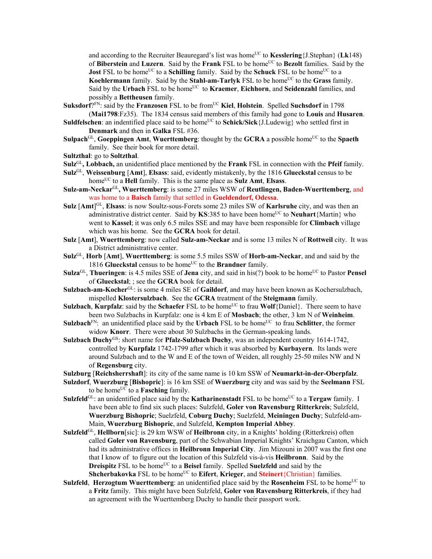and according to the Recruiter Beauregard's list was home<sup>UC</sup> to **Kesslering**{J.Stephan} (Lk148) of **Biberstein** and **Luzern**. Said by the **Frank** FSL to be homeUC to **Bezolt** families. Said by the **Jost** FSL to be home<sup>UC</sup> to a **Schilling** family. Said by the **Schuck** FSL to be home<sup>UC</sup> to a **Koehlermann** family. Said by the **Stahl-am-Tarlyk** FSL to be home<sup>UC</sup> to the **Grass** family. Said by the Urbach FSL to be home<sup>UC</sup> to **Kraemer**, **Eichhorn**, and **Seidenzahl** families, and possibly a **Bettheusen** family.

**Suksdorf**?<sup>FN</sup>: said by the **Franzosen** FSL to be from<sup>UC</sup> Kiel, Holstein. Spelled Suchsdorf in 1798 (**Mai1798**:Fz35). The 1834 census said members of this family had gone to **Louis** and **Husaren**.

- **Suldfelschen**: an indentified place said to be home<sup>UC</sup> to **Schick/Sick**{J.Ludewig} who settled first in **Denmark** and then in **Galka** FSL #36.
- Sulpach<sup>GL</sup>, Goeppingen Amt, Wuerttemberg: thought by the GCRA a possible home<sup>UC</sup> to the Spaeth family. See their book for more detail.
- **Sultzthal**: go to **Soltzthal**.
- **Sulz**GL**, Lobbach,** an unidentified place mentioned by the **Frank** FSL in connection with the **Pfeif** family.
- **Sulz**GL, **Weissenburg** [**Amt**], **Elsass**: said, evidently mistakenly, by the 1816 **Glueckstal** census to be homeUC to a **Hell** family. This is the same place as **Sulz Amt**, **Elsass**.
- **Sulz-am-Neckar**GL**, Wuerttemberg**: is some 27 miles WSW of **Reutlingen, Baden-Wuerttemberg**, and was home to a **Baisch** family that settled in **Gueldendorf, Odessa**.
- **Sulz** [Amt]<sup>GL</sup>, **Elsass**: is now Soultz-sous-Forets some 23 miles SW of **Karlsruhe** city, and was then an administrative district center. Said by **KS**:385 to have been home<sup>UC</sup> to **Neuhart**{Martin} who went to **Kassel**; it was only 6.5 miles SSE and may have been responsible for **Climbach** village which was his home. See the **GCRA** book for detail.
- **Sulz** [**Amt**], **Wuerttemberg**: now called **Sulz-am-Neckar** and is some 13 miles N of **Rottweil** city. It was a District administrative center.
- **Sulz**GL, **Horb** [**Amt**], **Wuerttemberg**: is some 5.5 miles SSW of **Horb-am-Neckar**, and and said by the 1816 **Glueckstal** census to be home<sup>UC</sup> to the **Brandner** family.
- **Sulza**<sup>GL</sup>, **Thueringen**: is 4.5 miles SSE of **Jena** city, and said in his(?) book to be home<sup>UC</sup> to Pastor **Pensel** of **Glueckstal**; ; see the **GCRA** book for detail.
- **Sulzbach-am-Kocher**GL: is some 4 miles SE of **Gaildorf**, and may have been known as Kochersulzbach, mispelled **Klostersulzbach**. See the **GCRA** treatment of the **Steigmann** family.
- **Sulzbach, Kurpfalz**: said by the **Schaefer** FSL to be home<sup>UC</sup> to frau **Wolf**{Daniel}. There seem to have been two Sulzbachs in Kurpfalz: one is 4 km E of **Mosbach**; the other, 3 km N of **Weinheim**.
- **Sulzbach**<sup>FN</sup>: an unidentified place said by the **Urbach** FSL to be home<sup>UC</sup> to frau **Schlitter**, the former widow **Knorr**. There were about 30 Sulzbachs in the German-speaking lands.
- **Sulzbach Duchy**<sup>GS</sup>: short name for **Pfalz-Sulzbach Duchy**, was an independent country 1614-1742, controlled by **Kurpfalz** 1742-1799 after which it was absorbed by **Kurbayern**. Its lands were around Sulzbach and to the W and E of the town of Weiden, all roughly 25-50 miles NW and N of **Regensburg** city.
- **Sulzburg** [**Reichsherrshaft**]: its city of the same name is 10 km SSW of **Neumarkt-in-der-Oberpfalz**.
- **Sulzdorf**, **Wuerzburg** [**Bishopric**]: is 16 km SSE of **Wuerzburg** city and was said by the **Seelmann** FSL to be home<sup>UC</sup> to a **Fasching** family.
- **Sulzfeld**<sup>GL</sup>: an unidentified place said by the **Katharinenstadt** FSL to be home<sup>UC</sup> to a **Tergaw** family. I have been able to find six such places: Sulzfeld, **Goler von Ravensburg Ritterkreis**; Sulzfeld, **Wuerzburg Bishopric**; Suelzfeld, **Coburg Duchy**; Suelzfeld, **Meiningen Duchy**; Sulzfeld-am-Main, **Wuerzburg Bishopric**, and Sulzfeld, **Kempton Imperial Abbey**.
- **Sulzfeld**GL, **Hellborn**[sic]: is 29 km WSW of **Heilbronn** city, in a Knights' holding (Ritterkreis) often called **Goler von Ravensburg**, part of the Schwabian Imperial Knights' Kraichgau Canton, which had its administrative offices in **Heilbronn Imperial City**. Jim Mizouni in 2007 was the first one that I know of to figure out the location of this Sulzfeld vis-à-vis **Heilbronn**. Said by the **Dreispitz** FSL to be home<sup>UC</sup> to a **Beisel** family. Spelled **Suelzfeld** and said by the **Shcherbakovka** FSL to be home<sup>UC</sup> to **Eifert**, **Krieger**, and **Steinert**{Christian} families.
- **Sulzfeld. Herzogtum Wuerttemberg**: an unidentified place said by the **Rosenheim** FSL to be home<sup>UC</sup> to a **Fritz** family. This might have been Sulzfeld, **Goler von Ravensburg Ritterkreis**, if they had an agreement with the Wuerttemberg Duchy to handle their passport work.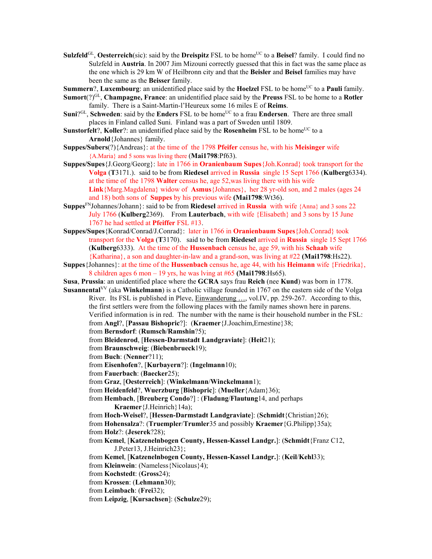- **Sulzfeld**<sup>GL</sup>, **Oesterreich**(sic): said by the **Dreispitz** FSL to be home<sup>UC</sup> to a **Beisel**? family. I could find no Sulzfeld in **Austria**. In 2007 Jim Mizouni correctly guessed that this in fact was the same place as the one which is 29 km W of Heilbronn city and that the **Beisler** and **Beisel** families may have been the same as the **Beisser** family.
- **Summern**?, **Luxembourg**: an unidentified place said by the **Hoelzel** FSL to be home<sup>UC</sup> to a **Pauli** family.
- **Sumort**(?)GL, **Champagne, France**: an unidentified place said by the **Preuss** FSL to be home to a **Rotler** family. There is a Saint-Martin-l'Heureux some 16 miles E of **Reims**.
- **Suni**?<sup>GL</sup>, **Schweden**: said by the **Enders** FSL to be home<sup>UC</sup> to a frau **Endersen**. There are three small places in Finland called Suni. Finland was a part of Sweden until 1809.
- **Sunstorfelt**?, **Koller**?: an unidentified place said by the **Rosenheim** FSL to be home<sup>UC</sup> to a **Arnold**{Johannes} family.
- **Suppes/Subers**(?){Andreas}: at the time of the 1798 **Pfeifer** census he, with his **Meisinger** wife {A.Maria} and 5 sons was living there (**Mai1798**:Pf63).
- **Suppes/Supes**{J.Georg/Georg}: late in 1766 in **Oranienbaum Supes**{Joh.Konrad} took transport for the **Volga** (**T**3171.). said to be from **Riedesel** arrived in **Russia** single 15 Sept 1766 (**Kulberg**6334). at the time of the 1798 **Walter** census he, age 52,was living there with his wife **Link**{Marg.Magdalena} widow of **Asmus**{Johannes}, her 28 yr-old son, and 2 males (ages 24 and 18) both sons of **Suppes** by his previous wife **(Mai1798**:Wt36).
- **Suppes**FNJohannes/Johann}: said to be from **Riedesel** arrived in **Russia** with wife {Anna} and 3 sons 22 July 1766 (**Kulberg**2369). From **Lauterbach**, with wife {Elisabeth} and 3 sons by 15 June 1767 he had settled at **Pfeiffer** FSL #13.
- **Suppes/Supes**{Konrad/Conrad/J.Conrad}: later in 1766 in **Oranienbaum Supes**{Joh.Conrad} took transport for the **Volga** (**T**3170). said to be from **Riedesel** arrived in **Russia** single 15 Sept 1766 (**Kulberg**6333). At the time of the **Hussenbach** census he, age 59, with his **Schaab** wife {Katharina}, a son and daughter-in-law and a grand-son, was living at #22 **(Mai1798**:Hs22).
- **Suppes**{Johannes}: at the time of the **Hussenbach** census he, age 44, with his **Heimann** wife {Friedrika}, 8 children ages 6 mon – 19 yrs, he was lving at #65 **(Mai1798**:Hs65).
- **Susa**, **Prussia**: an unidentified place where the **GCRA** says frau **Reich** (nee **Kund**) was born in 1778.
- **Susannental**VV (aka **Winkelmann**) is a Catholic village founded in 1767 on the eastern side of the Volga River. Its FSL is published in Pleve, **Einwanderung ...**, vol.IV, pp. 259-267. According to this, the first settlers were from the following places with the family names shown here in parens. Verified information is in red. The number with the name is their household number in the FSL: from **Angl**?, [**Passau Bishopric**?]: (**Kraemer**{J.Joachim,Ernestine}38;
	- from **Bernsdorf**: (**Rumsch**/**Ramshin**?5);
	- from **Bleidenrod**, [**Hessen-Darmstadt Landgraviate**]: (**Heit**21);
	- from **Braunschweig**: (**Biebenbrueck**19);
	- from **Buch**: (**Nenner**?11);
	- from **Eisenhofen**?, [**Kurbayern**?]: (**Ingelmann**10);
	- from **Fauerbach**: (**Baecker**25);
	- from **Graz**, [**Oesterreich**]: (**Winkelmann**/**Winckelmann**1);
	- from **Heidenfeld**?, **Wuerzburg** [**Bishopric**]: (**Mueller**{Adam}36);
	- from **Hembach**, [**Breuberg Condo**?] : (**Fladung**/**Flautung**14, and perhaps **Kraemer**{J.Heinrich}14a);
	- from **Hoch-Weisel**?, [**Hessen-Darmstadt Landgraviate**]: (**Schmidt**{Christian}26);
	- from **Hohensalza**?: (**Truempler**/**Trumler**35 and possibly **Kraemer**{G.Philipp}35a); from **Holz**?: (**Jeserek**?28);
	- from **Kemel**, [**Katzenelnbogen County, Hessen-Kassel Landgr.**]: (**Schmidt**{Franz C12, J.Peter13, J.Heinrich23};
	- from **Kemel**, [**Katzenelnbogen County, Hessen-Kassel Landgr.**]: (**Keil**/**Kehl**33);
	- from **Kleinwein**: (Nameless{Nicolaus}4);
	- from **Kochstedt**: (**Gross**24);
	- from **Krossen**: (**Lehmann**30);
	- from **Leimbach**: (**Frei**32);
	- from **Leipzig**, [**Kursachsen**]: (**Schulze**29);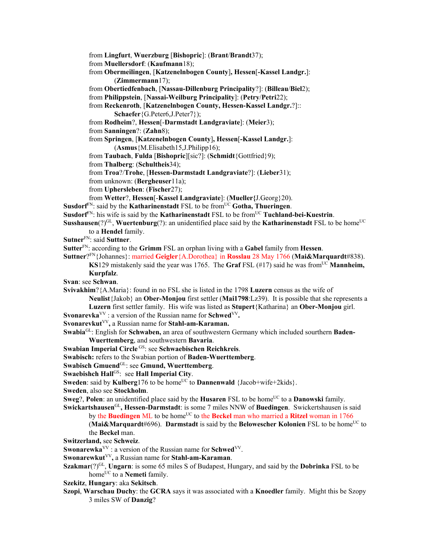from **Lingfurt**, **Wuerzburg** [**Bishopric**]: (**Brant**/**Brandt**37);

from **Muellersdorf**: (**Kaufmann**18);

from **Obermeilingen**, [**Katzenelnbogen County**]**, Hessen**[**-Kassel Landgr.**]: (**Zimmermann**17);

from **Obertiedfenbach**, [**Nassau-Dillenburg Principality**?]: (**Billeau**/**Biel**2);

from **Philippstein**, [**Nassai-Weilburg Principality**]: (**Petry**/**Petri**22);

from **Reckenroth**, [**Katzenelnbogen County, Hessen-Kassel Landgr.**?]::

**Schaefer**{G.Peter6,J.Peter7});

from **Rodheim**?, **Hessen**[-**Darmstadt Landgraviate**]: (**Meier**3);

from **Sanningen**?: (**Zahn**8);

from **Springen**, [**Katzenelnbogen County**]**, Hessen**[**-Kassel Landgr.**]:

(**Asmus**{M.Elisabeth15,J.Philipp16);

from **Taubach**, **Fulda** [**Bishopric**][sic?]: (**Schmidt**{Gottfried}9);

from **Thalberg**: (**Schultheis**34);

from **Troa**?/**Trohe**, [**Hessen-Darmstadt Landgraviate**?]: (**Lieber**31);

from unknown: (**Bergheuser**11a);

from **Uphersleben**: (**Fischer**27);

from **Wetter**?, **Hessen**[-**Kassel Landgraviate**]: (**Mueller{**J.Georg}20).

**Susdorf**FN: said by the **Katharinenstadt** FSL to be fromUC **Gotha, Thueringen**.

**Susdorf**<sup>FN</sup>: his wife is said by the **Katharinenstadt** FSL to be from<sup>UC</sup> **Tuchland-bei-Kuestrin**.

**Susshausen**(?)<sup>GL</sup>, **Wuertenburg**(?): an unidentified place said by the **Katharinenstadt** FSL to be home<sup>UC</sup> to a **Hendel** family.

**Sutner**FN: said **Suttner**.

**Sutter**FN: according to the **Grimm** FSL an orphan living with a **Gabel** family from **Hessen**.

**Suttner**?FN{Johannes}: married **Geigler**{A.Dorothea} in **Rosslau** 28 May 1766 (**Mai&Marquardt**#838).

**KS**129 mistakenly said the year was 1765. The **Graf** FSL  $(\text{\#17})$  said he was from<sup>UC</sup> **Mannheim, Kurpfalz**.

**Svan**: see **Schwan**.

**Svivakhim**?{A.Maria}: found in no FSL she is listed in the 1798 **Luzern** census as the wife of

**Neulist**{Jakob} an **Ober-Monjou** first settler (**Mai1798**:Lz39). It is possible that she represents a **Luzern** first settler family. His wife was listed as **Stupert**{Katharina} an **Ober-Monjou** girl.

- **Svonarevka**<sup>VV</sup>: a version of the Russian name for **Schwed**<sup>VV</sup>.
- **Svonarevkut**VV**,** a Russian name for **Stahl-am-Karaman.**

**Swabia**GL: English for **Schwaben,** an area of southwestern Germany which included sourthern **Baden-Wuerttemberg**, and southwestern **Bavaria**.

**Swabian Imperial Circle** GS: see **Schwaebischen Reichkreis**.

**Swabisch:** refers to the Swabian portion of **Baden-Wuerttemberg**.

**Swabisch Gmuend**GL: see **Gmund, Wuerttemberg**.

**Swaebishch Hall<sup>GS</sup>: see Hall Imperial City.** 

**Sweden**: said by **Kulberg**176 to be home<sup>UC</sup> to **Dannenwald** {Jacob+wife+2kids}.

**Sweden**, also see **Stockholm**.

**Sweg**?, **Polen**: an unidentified place said by the **Husaren** FSL to be home<sup>UC</sup> to a **Danowski** family. **Swickartshausen**GL**, Hessen-Darmstadt**: is some 7 miles NNW of **Buedingen**. Swickertshausen is said

by the **Buedingen** ML to be home<sup>UC</sup> to the **Beckel** man who married a **Ritzel** woman in 1766 **(Mai&Marquardt#696). Darmstadt** is said by the **Belowescher Kolonien** FSL to be home<sup>UC</sup> to the **Beckel** man.

**Switzerland,** see **Schweiz**.

**Swonarewka**<sup>VV</sup>: a version of the Russian name for **Schwed**<sup>VV</sup>.

**Swonarewkut**VV**,** a Russian name for **Stahl-am-Karaman**.

**Szakmar**(?)<sup>GL</sup>, **Ungarn**: is some 65 miles S of Budapest, Hungary, and said by the **Dobrinka** FSL to be home<sup>UC</sup> to a **Nemeti** family.

**Szekitz**, **Hungary**: aka **Sekitsch**.

**Szopi**, **Warschau Duchy**: the **GCRA** says it was associated with a **Knoedler** family. Might this be Szopy 3 miles SW of **Danzig**?